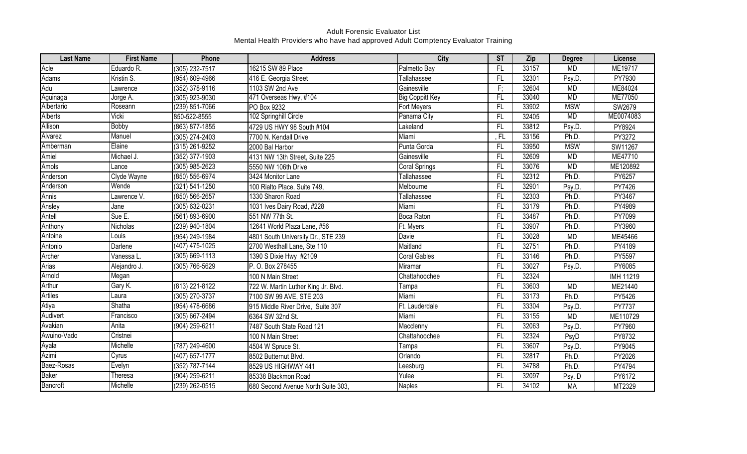| <b>Last Name</b> | <b>First Name</b> | Phone              | <b>Address</b>                      | City                   | <b>ST</b>       | Zip   | <b>Degree</b> | License       |
|------------------|-------------------|--------------------|-------------------------------------|------------------------|-----------------|-------|---------------|---------------|
| Acle             | Eduardo R.        | (305) 232-7517     | 16215 SW 89 Place                   | Palmetto Bay           | $\overline{FL}$ | 33157 | <b>MD</b>     | ME19717       |
| Adams            | Kristin S.        | (954) 609-4966     | 416 E. Georgia Street               | Tallahassee            | $\overline{FL}$ | 32301 | Psy.D.        | PY7930        |
| Adu              | Lawrence          | (352) 378-9116     | 1103 SW 2nd Ave                     | Gainesville            | F;              | 32604 | <b>MD</b>     | ME84024       |
| Aguinaga         | Jorge A.          | $(305)$ 923-9030   | 471 Overseas Hwy, #104              | <b>Big Coppitt Key</b> | FL              | 33040 | MD            | ME77050       |
| Albertario       | Roseann           | (239) 851-7066     | PO Box 9232                         | Fort Meyers            | FL.             | 33902 | <b>MSW</b>    | SW2679        |
| Alberts          | Vicki             | 850-522-8555       | 102 Springhill Circle               | Panama City            | $\overline{FL}$ | 32405 | <b>MD</b>     | ME0074083     |
| Allison          | <b>Bobby</b>      | (863) 877-1855     | 4729 US HWY 98 South #104           | Lakeland               | $\overline{FL}$ | 33812 | Psy.D.        | PY8924        |
| Alvarez          | Manuel            | (305) 274-2403     | 7700 N. Kendall Drive               | Miami                  | FL,             | 33156 | Ph.D.         | PY3272        |
| Amberman         | Elaine            | (315) 261-9252     | 2000 Bal Harbor                     | Punta Gorda            | FL.             | 33950 | <b>MSW</b>    | SW11267       |
| Amiel            | Michael J.        | (352) 377-1903     | 4131 NW 13th Street, Suite 225      | Gainesville            | FL              | 32609 | <b>MD</b>     | ME47710       |
| Amols            | Lance             | (305) 985-2623     | 5550 NW 106th Drive                 | Coral Springs          | FL              | 33076 | <b>MD</b>     | ME120892      |
| Anderson         | Clyde Wayne       | (850) 556-6974     | 3424 Monitor Lane                   | Tallahassee            | FL.             | 32312 | Ph.D.         | PY6257        |
| Anderson         | Wende             | (321) 541-1250     | 100 Rialto Place, Suite 749,        | Melbourne              | FL.             | 32901 | Psy.D.        | PY7426        |
| Annis            | Lawrence V.       | $(850) 566 - 2657$ | 1330 Sharon Road                    | Tallahassee            | FL              | 32303 | Ph.D.         | PY3467        |
| Ansley           | Jane              | (305) 632-0231     | 1031 Ives Dairy Road, #228          | Miami                  | FL.             | 33179 | Ph.D.         | PY4989        |
| Antell           | Sue E.            | (561) 893-6900     | 551 NW 77th St.                     | Boca Raton             | FL              | 33487 | Ph.D.         | PY7099        |
| Anthony          | Nicholas          | (239) 940-1804     | 12641 World Plaza Lane, #56         | Ft. Myers              | FL.             | 33907 | Ph.D.         | PY3960        |
| Antoine          | Louis             | (954) 249-1984     | 4801 South University Dr., STE 239  | Davie                  | FL.             | 33028 | <b>MD</b>     | ME45466       |
| Antonio          | Darlene           | (407) 475-1025     | 2700 Westhall Lane, Ste 110         | Maitland               | FL.             | 32751 | Ph.D.         | PY4189        |
| Archer           | Vanessa L.        | $(305)$ 669-1113   | 1390 S Dixie Hwy #2109              | <b>Coral Gables</b>    | $\overline{FL}$ | 33146 | Ph.D.         | <b>PY5597</b> |
| Arias            | Alejandro J.      | (305) 766-5629     | P. O. Box 278455                    | Miramar                | FL.             | 33027 | Psy.D.        | PY6085        |
| Arnold           | Megan             |                    | 100 N Main Street                   | Chattahoochee          | FL.             | 32324 |               | IMH 11219     |
| Arthur           | Gary K.           | (813) 221-8122     | 722 W. Martin Luther King Jr. Blvd. | Tampa                  | FL.             | 33603 | <b>MD</b>     | ME21440       |
| <b>Artiles</b>   | Laura             | (305) 270-3737     | 7100 SW 99 AVE, STE 203             | Miami                  | FL.             | 33173 | Ph.D.         | PY5426        |
| Atiya            | Shatha            | (954) 478-6686     | 915 Middle River Drive, Suite 307   | Ft. Lauderdale         | FL.             | 33304 | Psy.D.        | PY7737        |
| Audivert         | Francisco         | (305) 667-2494     | 6364 SW 32nd St.                    | Miami                  | FL              | 33155 | <b>MD</b>     | ME110729      |
| Avakian          | Anita             | (904) 259-6211     | 7487 South State Road 121           | Macclenny              | $\overline{FL}$ | 32063 | Psy.D         | PY7960        |
| Awuino-Vado      | Cristnei          |                    | 100 N Main Street                   | Chattahoochee          | FL.             | 32324 | PsyD          | PY8732        |
| Ayala            | Michelle          | (787) 249-4600     | 4504 W Spruce St.                   | Tampa                  | FL.             | 33607 | Psy.D.        | PY9045        |
| Azimi            | Cyrus             | (407) 657-1777     | 8502 Butternut Blvd.                | Orlando                | FL.             | 32817 | Ph.D.         | PY2026        |
| Baez-Rosas       | Evelyn            | (352) 787-7144     | 8529 US HIGHWAY 441                 | Leesburg               | FL              | 34788 | Ph.D.         | PY4794        |
| Baker            | Theresa           | (904) 259-6211     | 85338 Blackmon Road                 | Yulee                  | FL.             | 32097 | Psy. D        | PY6172        |
| Bancroft         | Michelle          | (239) 262-0515     | 680 Second Avenue North Suite 303,  | <b>Naples</b>          | F               | 34102 | <b>MA</b>     | MT2329        |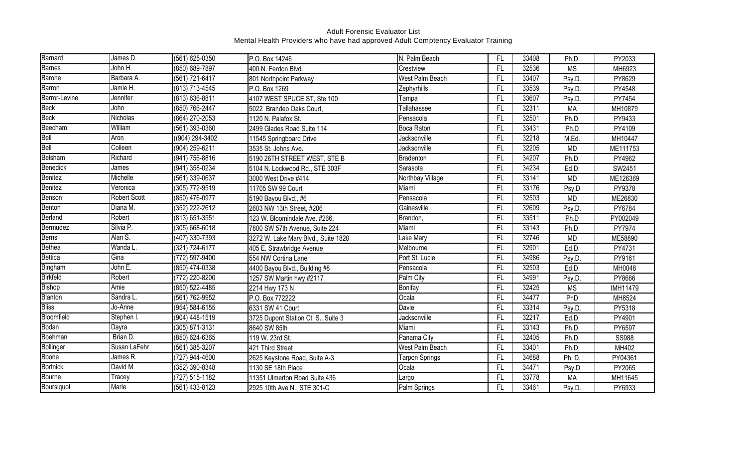| Barnard         | James D.            | (561) 625-0350     | P.O. Box 14246                      | N. Palm Beach    | FL              | 33408 | Ph.D.     | PY2033       |
|-----------------|---------------------|--------------------|-------------------------------------|------------------|-----------------|-------|-----------|--------------|
| <b>Barnes</b>   | John H.             | (850) 689-7897     | 400 N. Ferdon Blvd.                 | Crestview        | FL.             | 32536 | <b>MS</b> | MH6923       |
| Barone          | Barbara A.          | (561) 721-6417     | 801 Northpoint Parkway              | West Palm Beach  | FL              | 33407 | Psy.D.    | PY8629       |
| Barron          | Jamie H.            | (813) 713-4545     | P.O. Box 1269                       | Zephyrhills      | FL.             | 33539 | Psy.D.    | PY4548       |
| Barror-Levine   | Jennifer            | (813) 636-8811     | 4107 WEST SPUCE ST, Ste 100         | Tampa            | FL.             | 33607 | Psy.D.    | PY7454       |
| <b>Beck</b>     | John                | (850) 766-2447     | 5022 Brandeo Oaks Court,            | Tallahassee      | FL              | 32311 | <b>MA</b> | MH10879      |
| <b>Beck</b>     | Nicholas            | (864) 270-2053     | 1120 N. Palafox St.                 | Pensacola        | FL              | 32501 | Ph.D.     | PY9433       |
| Beecham         | William             | $(561)$ 393-0360   | 2499 Glades Road Suite 114          | Boca Raton       | $\overline{FL}$ | 33431 | Ph.D      | PY4109       |
| Bell            | Aron                | ((904) 294-3402    | 11545 Springboard Drive             | Jacksonville     | FL              | 32218 | M.Ed.     | MH10447      |
| Bell            | Colleen             | $(904) 259 - 6211$ | 3535 St. Johns Ave.                 | Jacksonville     | FL              | 32205 | <b>MD</b> | ME111753     |
| Belsham         | Richard             | (941) 756-8816     | 5190 26TH STREET WEST, STE B        | Bradenton        | FL.             | 34207 | Ph.D.     | PY4962       |
| Benedick        | James               | (941) 358-0234     | 5104 N. Lockwood Rd., STE 303F      | Sarasota         | FL              | 34234 | Ed.D.     | SW2451       |
| Benitez         | Michelle            | (561) 339-0637     | 3000 West Drive #414                | Northbay Village | FL              | 33141 | <b>MD</b> | ME126369     |
| Benitez         | Veronica            | (305) 772-9519     | 11705 SW 99 Court                   | Miami            | FL.             | 33176 | Psy.D     | PY9378       |
| Benson          | <b>Robert Scott</b> | (850) 476-0977     | 5190 Bayou Blvd., #6                | Pensacola        | $\overline{FL}$ | 32503 | <b>MD</b> | ME26830      |
| Benton          | Diana M.            | (352) 222-2612     | 2603 NW 13th Street, #206           | Gainesville      | FL.             | 32609 | Psy.D.    | PY6784       |
| Berland         | Robert              | (813) 651-3551     | 123 W. Bloomindale Ave. #266,       | Brandon,         | FL              | 33511 | Ph.D      | PY002049     |
| Bermudez        | Silvia P.           | (305) 668-6018     | 7800 SW 57th Avenue, Suite 224      | Miami            | FL              | 33143 | Ph.D.     | PY7974       |
| Berns           | Alan S.             | (407) 330-7393     | 3272 W. Lake Mary Blvd., Suite 1820 | Lake Mary        | FL              | 32746 | <b>MD</b> | ME58890      |
| Bethea          | Wanda L.            | (321) 724-6177     | 405 E. Strawbridge Avenue           | Melbourne        | FL              | 32901 | Ed.D.     | PY4731       |
| Bettica         | Gina                | (772) 597-9400     | 554 NW Cortina Lane                 | Port St. Lucie   | FL              | 34986 | Psy.D.    | PY9161       |
| Bingham         | John E.             | (850) 474-0338     | 4400 Bayou Blvd., Building #8       | Pensacola        | FL.             | 32503 | Ed.D.     | MH0048       |
| Birkfeld        | Robert              | (772) 220-8200     | 1257 SW Martin hwy #2117            | Palm City        | FL.             | 34991 | Psy.D.    | PY8686       |
| Bishop          | Amie                | (850) 522-4485     | 2214 Hwy 173 N                      | Bonifay          | FL              | 32425 | <b>MS</b> | IMH11479     |
| Blanton         | Sandra L.           | (561) 762-9952     | P.O. Box 772222                     | Ocala            | FL              | 34477 | PhD       | MH8524       |
| <b>Bliss</b>    | Jo-Anne             | (954) 584-6155     | 6331 SW 41 Court                    | Davie            | FL.             | 33314 | Psy.D.    | PY5318       |
| Bloomfield      | Stephen I.          | (904) 448-1519     | 3725 Dupont Station Ct. S., Suite 3 | Jacksonville     | FL              | 32217 | Ed.D.     | PY4901       |
| Bodan           | Dayra               | (305) 871-3131     | 8640 SW 85th                        | Miami            | FL              | 33143 | Ph.D.     | PY6597       |
| Boehman         | Brian D.            | (850) 624-6365     | 119 W. 23rd St.                     | Panama City      | FL              | 32405 | Ph.D.     | <b>SS988</b> |
| Bollinger       | Susan LaFehr        | (561) 385-3207     | 421 Third Street                    | West Palm Beach  | FL              | 33401 | Ph.D.     | MH402        |
| Boone           | James R.            | (727) 944-4600     | 2625 Keystone Road, Suite A-3       | Tarpon Springs   | FL              | 34688 | Ph. D.    | PY04361      |
| <b>Bortnick</b> | David M.            | (352) 390-8348     | 1130 SE 18th Place                  | Ocala            | FL              | 34471 | Psy.D     | PY2065       |
| Bourne          | Tracey              | (727) 515-1182     | 11351 Ulmerton Road Suite 436       | Largo            | FL              | 33778 | <b>MA</b> | MH11645      |
| Boursiquot      | Marie               | (561) 433-8123     | 2925 10th Ave N., STE 301-C         | Palm Springs     | FL.             | 33461 | Psy.D.    | PY6933       |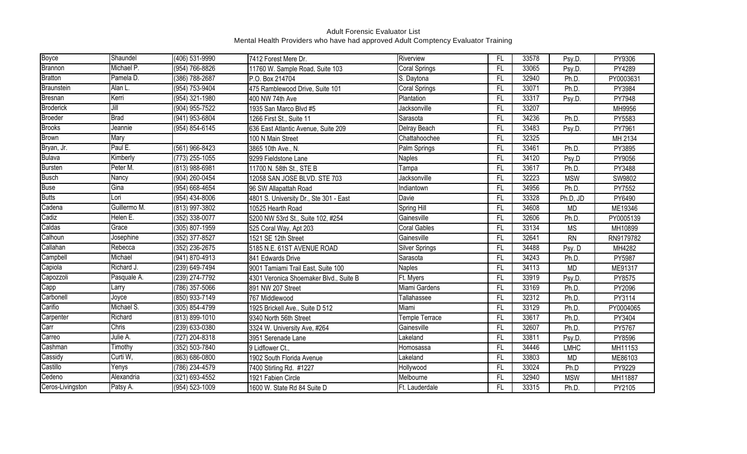| Boyce            | Shaundel     | (406) 531-9990     | 7412 Forest Mere Dr.                   | Riverview             | FL        | 33578 | Psy.D.      | PY9306    |
|------------------|--------------|--------------------|----------------------------------------|-----------------------|-----------|-------|-------------|-----------|
| <b>Brannon</b>   | Michael P.   | (954) 766-8826     | 11760 W. Sample Road, Suite 103        | <b>Coral Springs</b>  | <b>FL</b> | 33065 | Psy.D.      | PY4289    |
| <b>Bratton</b>   | Pamela D.    | (386) 788-2687     | P.O. Box 214704                        | S. Daytona            | FL        | 32940 | Ph.D.       | PY0003631 |
| Braunstein       | Alan L.      | (954) 753-9404     | 475 Ramblewood Drive, Suite 101        | Coral Springs         | FL        | 33071 | Ph.D.       | PY3984    |
| Bresnan          | Kerri        | (954) 321-1980     | 400 NW 74th Ave                        | Plantation            | <b>FL</b> | 33317 | Psy.D.      | PY7948    |
| <b>Broderick</b> | Jill         | (904) 955-7522     | 1935 San Marco Blvd #5                 | Jacksonville          | FL        | 33207 |             | MH9956    |
| Broeder          | <b>Brad</b>  | (941) 953-6804     | 1266 First St., Suite 11               | Sarasota              | FL        | 34236 | Ph.D.       | PY5583    |
| <b>Brooks</b>    | Jeannie      | $(954) 854 - 6145$ | 636 East Atlantic Avenue, Suite 209    | Delray Beach          | <b>FL</b> | 33483 | Psy.D.      | PY7961    |
| <b>Brown</b>     | Mary         |                    | 100 N Main Street                      | Chattahoochee         | FL        | 32325 |             | MH 2134   |
| Bryan, Jr.       | Paul E.      | (561) 966-8423     | 3865 10th Ave., N.                     | Palm Springs          | FL        | 33461 | Ph.D.       | PY3895    |
| <b>Bulava</b>    | Kimberly     | (773) 255-1055     | 9299 Fieldstone Lane                   | <b>Naples</b>         | <b>FL</b> | 34120 | Psy.D       | PY9056    |
| <b>Bursten</b>   | Peter M.     | (813) 988-6981     | 11700 N. 58th St., STE B               | Tampa                 | <b>FL</b> | 33617 | Ph.D.       | PY3488    |
| <b>Busch</b>     | Nancy        | (904) 260-0454     | 12058 SAN JOSE BLVD. STE 703           | Jacksonville          | FL        | 32223 | <b>MSW</b>  | SW9802    |
| <b>Buse</b>      | Gina         | (954) 668-4654     | 96 SW Allapattah Road                  | Indiantown            | <b>FL</b> | 34956 | Ph.D.       | PY7552    |
| <b>Butts</b>     | Lori         | (954) 434-8006     | 4801 S. University Dr., Ste 301 - East | Davie                 | <b>FL</b> | 33328 | Ph.D, JD    | PY6490    |
| Cadena           | Guillermo M. | (813) 997-3802     | 10525 Hearth Road                      | Spring Hill           | F         | 34608 | <b>MD</b>   | ME19346   |
| Cadiz            | Helen E.     | (352) 338-0077     | 5200 NW 53rd St., Suite 102, #254      | Gainesville           | <b>FL</b> | 32606 | Ph.D.       | PY0005139 |
| Caldas           | Grace        | (305) 807-1959     | 525 Coral Way, Apt 203                 | <b>Coral Gables</b>   | <b>FL</b> | 33134 | <b>MS</b>   | MH10899   |
| Calhoun          | Josephine    | (352) 377-8527     | 1521 SE 12th Street                    | Gainesville           | <b>FL</b> | 32641 | <b>RN</b>   | RN9179782 |
| Callahan         | Rebecca      | (352) 236-2675     | 5185 N.E. 61ST AVENUE ROAD             | <b>Silver Springs</b> | <b>FL</b> | 34488 | Psy. D      | MH4282    |
| Campbell         | Michael      | (941) 870-4913     | 841 Edwards Drive                      | Sarasota              | FL        | 34243 | Ph.D.       | PY5987    |
| Capiola          | Richard J.   | (239) 649-7494     | 9001 Tamiami Trail East, Suite 100     | <b>Naples</b>         | FL        | 34113 | <b>MD</b>   | ME91317   |
| Capozzoli        | Pasquale A.  | (239) 274-7792     | 4301 Veronica Shoemaker Blvd., Suite B | Ft. Myers             | FL        | 33919 | Psy.D.      | PY8575    |
| Capp             | Larry        | (786) 357-5066     | 891 NW 207 Street                      | Miami Gardens         | FL        | 33169 | Ph.D.       | PY2096    |
| Carbonell        | Joyce        | (850) 933-7149     | 767 Middlewood                         | Tallahassee           | FL        | 32312 | Ph.D.       | PY3114    |
| Carifio          | Michael S.   | (305) 854-4799     | 1925 Brickell Ave., Suite D 512        | Miami                 | FL        | 33129 | Ph.D.       | PY0004065 |
| Carpenter        | Richard      | (813) 899-1010     | 9340 North 56th Street                 | Temple Terrace        | FL        | 33617 | Ph.D.       | PY3404    |
| Carr             | Chris        | (239) 633-0380     | 3324 W. University Ave, #264           | Gainesville           | <b>FL</b> | 32607 | Ph.D.       | PY5767    |
| Carreo           | Julie A.     | (727) 204-8318     | 3951 Serenade Lane                     | Lakeland              | FL        | 33811 | Psy.D.      | PY8596    |
| Cashman          | Timothy      | (352) 503-7840     | 9 Lidflower Ct.,                       | Homosassa             | FL        | 34446 | <b>LMHC</b> | MH11153   |
| Cassidy          | Curti W,     | (863) 686-0800     | 1902 South Florida Avenue              | Lakeland              | <b>FL</b> | 33803 | <b>MD</b>   | ME86103   |
| Castillo         | Yenys        | (786) 234-4579     | 7400 Stirling Rd. #1227                | Hollywood             | FL        | 33024 | Ph.D        | PY9229    |
| Cedeno           | Alexandria   | (321) 693-4552     | 1921 Fabien Circle                     | Melbourne             | FL        | 32940 | <b>MSW</b>  | MH11887   |
| Ceros-Livingston | Patsy A.     | (954) 523-1009     | 1600 W. State Rd 84 Suite D            | Ft. Lauderdale        | <b>FL</b> | 33315 | Ph.D.       | PY2105    |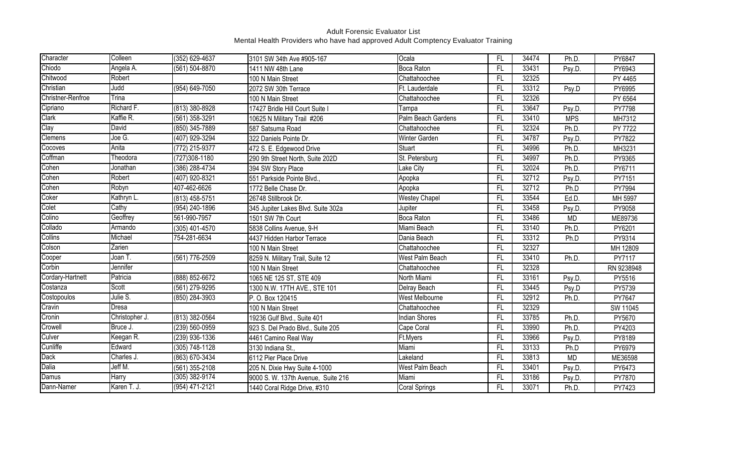| Character         | Colleen        | (352) 629-4637   | 3101 SW 34th Ave #905-167          | Ocala                | FL        | 34474 | Ph.D.      | PY6847     |
|-------------------|----------------|------------------|------------------------------------|----------------------|-----------|-------|------------|------------|
| Chiodo            | Angela A.      | (561) 504-8870   | 1411 NW 48th Lane                  | <b>Boca Raton</b>    | <b>FL</b> | 33431 | Psy.D.     | PY6943     |
| Chitwood          | Robert         |                  | 100 N Main Street                  | Chattahoochee        | FL        | 32325 |            | PY 4465    |
| Christian         | Judd           | (954) 649-7050   | 2072 SW 30th Terrace               | Ft. Lauderdale       | FL        | 33312 | Psy.D      | PY6995     |
| Christner-Renfroe | Trina          |                  | 100 N Main Street                  | Chattahoochee        | FL        | 32326 |            | PY 6564    |
| Cipriano          | Richard F.     | (813) 380-8928   | 17427 Bridle Hill Court Suite I    | Tampa                | FL        | 33647 | Psy.D.     | PY7798     |
| Clark             | Kaffie R.      | (561) 358-3291   | 10625 N Military Trail #206        | Palm Beach Gardens   | <b>FL</b> | 33410 | <b>MPS</b> | MH7312     |
| Clay              | David          | (850) 345-7889   | 587 Satsuma Road                   | Chattahoochee        | FL        | 32324 | Ph.D.      | PY 7722    |
| Clemens           | Joe G.         | (407) 929-3294   | 322 Daniels Pointe Dr.             | <b>Winter Garden</b> | <b>FL</b> | 34787 | Psy.D.     | PY7822     |
| Cocoves           | Anita          | (772) 215-9377   | 472 S. E. Edgewood Drive           | <b>Stuart</b>        | <b>FL</b> | 34996 | Ph.D.      | MH3231     |
| Coffman           | Theodora       | (727) 308-1180   | 290 9th Street North, Suite 202D   | St. Petersburg       | FL        | 34997 | Ph.D.      | PY9365     |
| Cohen             | Jonathan       | (386) 288-4734   | 394 SW Story Place                 | Lake City            | <b>FL</b> | 32024 | Ph.D.      | PY6711     |
| Cohen             | Robert         | (407) 920-8321   | 551 Parkside Pointe Blvd.,         | Apopka               | <b>FL</b> | 32712 | Psy.D.     | PY7151     |
| Cohen             | Robyn          | 407-462-6626     | 1772 Belle Chase Dr.               | Apopka               | FL        | 32712 | Ph.D       | PY7994     |
| Coker             | Kathryn L.     | (813) 458-5751   | 26748 Stillbrook Dr.               | <b>Westey Chapel</b> | <b>FL</b> | 33544 | Ed.D.      | MH 5997    |
| Colet             | Cathy          | (954) 240-1896   | 345 Jupiter Lakes Blvd. Suite 302a | Jupiter              | FL        | 33458 | Psy.D.     | PY9058     |
| Colino            | Geoffrey       | 561-990-7957     | 1501 SW 7th Court                  | <b>Boca Raton</b>    | FL        | 33486 | <b>MD</b>  | ME89736    |
| Collado           | Armando        | (305) 401-4570   | 5838 Collins Avenue, 9-H           | Miami Beach          | FL        | 33140 | Ph.D.      | PY6201     |
| Collins           | Michael        | 754-281-6634     | 4437 Hidden Harbor Terrace         | Dania Beach          | FL        | 33312 | Ph.D       | PY9314     |
| Colson            | Zarien         |                  | 100 N Main Street                  | Chattahoochee        | FL        | 32327 |            | MH 12809   |
| Cooper            | Joan T.        | (561) 776-2509   | 8259 N. Military Trail, Suite 12   | West Palm Beach      | FL        | 33410 | Ph.D.      | PY7117     |
| Corbin            | Jennifer       |                  | 100 N Main Street                  | Chattahoochee        | <b>FL</b> | 32328 |            | RN 9238948 |
| Cordary-Hartnett  | Patricia       | (888) 852-6672   | 1065 NE 125 ST, STE 409            | North Miami          | FL        | 33161 | Psy.D.     | PY5516     |
| Costanza          | Scott          | (561) 279-9295   | 1300 N.W. 17TH AVE., STE 101       | Delray Beach         | FL        | 33445 | Psy.D      | PY5739     |
| Costopoulos       | Julie S.       | (850) 284-3903   | P.O. Box 120415                    | West Melbourne       | FL        | 32912 | Ph.D.      | PY7647     |
| Cravin            | <b>Dresa</b>   |                  | 100 N Main Street                  | Chattahoochee        | FL        | 32329 |            | SW 11045   |
| Cronin            | Christopher J. | (813) 382-0564   | 19236 Gulf Blvd., Suite 401        | <b>Indian Shores</b> | FL        | 33785 | Ph.D.      | PY5670     |
| Crowell           | Bruce J.       | (239) 560-0959   | 923 S. Del Prado Blvd., Suite 205  | Cape Coral           | FL        | 33990 | Ph.D.      | PY4203     |
| Culver            | Keegan R.      | (239) 936-1336   | 4461 Camino Real Way               | Ft.Myers             | <b>FL</b> | 33966 | Psy.D.     | PY8189     |
| Cunliffe          | Edward         | (305) 748-1128   | 3130 Indiana St.,                  | Miami                | <b>FL</b> | 33133 | Ph.D       | PY6979     |
| Dack              | Charles J.     | (863) 670-3434   | 6112 Pier Place Drive              | Lakeland             | FL        | 33813 | <b>MD</b>  | ME36598    |
| Dalia             | Jeff M.        | (561) 355-2108   | 205 N. Dixie Hwy Suite 4-1000      | West Palm Beach      | <b>FL</b> | 33401 | Psy.D.     | PY6473     |
| Damus             | <b>Harry</b>   | $(305)$ 382-9174 | 9000 S. W. 137th Avenue, Suite 216 | Miami                | FL        | 33186 | Psy.D.     | PY7870     |
| Dann-Namer        | Karen T. J.    | (954) 471-2121   | 1440 Coral Ridge Drive, #310       | <b>Coral Springs</b> | <b>FL</b> | 33071 | Ph.D.      | PY7423     |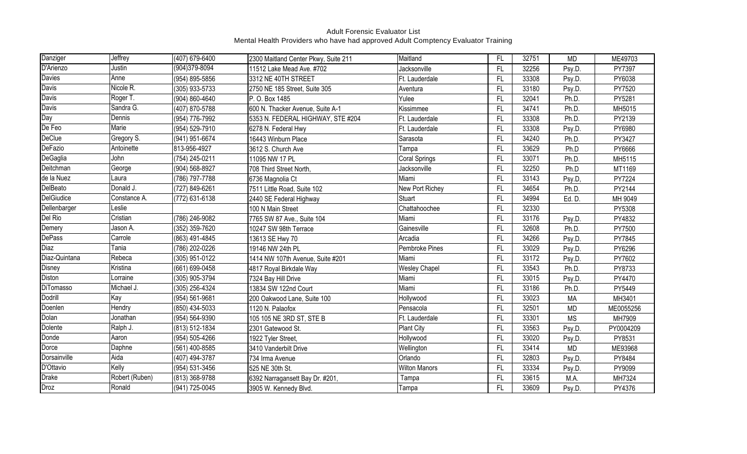| Danziger          | Jeffrey        | (407) 679-6400   | 2300 Maitland Center Pkwy, Suite 211 | Maitland             | FL.             | 32751 | <b>MD</b> | ME49703   |
|-------------------|----------------|------------------|--------------------------------------|----------------------|-----------------|-------|-----------|-----------|
| D'Arienzo         | Justin         | $(904)379-8094$  | 11512 Lake Mead Ave. #702            | Jacksonville         | FL.             | 32256 | Psy.D.    | PY7397    |
| <b>Davies</b>     | Anne           | (954) 895-5856   | 3312 NE 40TH STREET                  | Ft. Lauderdale       | FL.             | 33308 | Psy.D.    | PY6038    |
| <b>Davis</b>      | Nicole R.      | (305) 933-5733   | 2750 NE 185 Street, Suite 305        | Aventura             | FL.             | 33180 | Psy.D.    | PY7520    |
| <b>Davis</b>      | Roger T.       | (904) 860-4640   | P. O. Box 1485                       | Yulee                | FL              | 32041 | Ph.D.     | PY5281    |
| Davis             | Sandra G.      | (407) 870-5788   | 600 N. Thacker Avenue, Suite A-1     | Kissimmee            | FL              | 34741 | Ph.D.     | MH5015    |
| Day               | Dennis         | (954) 776-7992   | 5353 N. FEDERAL HIGHWAY, STE #204    | Ft. Lauderdale       | FL              | 33308 | Ph.D.     | PY2139    |
| De Feo            | <b>Marie</b>   | (954) 529-7910   | 6278 N. Federal Hwy                  | Ft. Lauderdale       | $\overline{FL}$ | 33308 | Psy.D.    | PY6980    |
| <b>DeClue</b>     | Gregory S.     | (941) 951-6674   | 16443 Winburn Place                  | Sarasota             | FL.             | 34240 | Ph.D.     | PY3427    |
| DeFazio           | Antoinette     | 813-956-4927     | 3612 S. Church Ave                   | Tampa                | FL.             | 33629 | Ph.D      | PY6666    |
| DeGaglia          | John           | (754) 245-0211   | 11095 NW 17 PL                       | Coral Springs        | $\overline{FL}$ | 33071 | Ph.D.     | MH5115    |
| Deitchman         | George         | (904) 568-8927   | 708 Third Street North,              | Jacksonville         | FL.             | 32250 | Ph.D      | MT1169    |
| de la Nuez        | Laura          | (786) 797-7788   | 6736 Magnolia Ct                     | Miami                | FL.             | 33143 | Psy.D,    | PY7224    |
| DelBeato          | Donald J.      | (727) 849-6261   | 7511 Little Road, Suite 102          | New Port Richey      | FL.             | 34654 | Ph.D.     | PY2144    |
| <b>DelGiudice</b> | Constance A.   | (772) 631-6138   | 2440 SE Federal Highway              | <b>Stuart</b>        | $\overline{FL}$ | 34994 | Ed. D.    | MH 9049   |
| Dellenbarger      | Leslie         |                  | 100 N Main Street                    | Chattahoochee        | FL              | 32330 |           | PY5308    |
| Del Rio           | Cristian       | (786) 246-9082   | 7765 SW 87 Ave., Suite 104           | Miami                | $\overline{FL}$ | 33176 | Psy.D.    | PY4832    |
| Demery            | Jason A.       | (352) 359-7620   | 10247 SW 98th Terrace                | Gainesville          | FL              | 32608 | Ph.D.     | PY7500    |
| <b>DePass</b>     | Carrole        | (863) 491-4845   | 13613 SE Hwy 70                      | Arcadia              | $\overline{FL}$ | 34266 | Psy.D.    | PY7845    |
| Diaz              | Tania          | (786) 202-0226   | 19146 NW 24th PL                     | Pembroke Pines       | FL              | 33029 | Psy.D.    | PY6296    |
| Diaz-Quintana     | Rebeca         | (305) 951-0122   | 1414 NW 107th Avenue, Suite #201     | Miami                | FL              | 33172 | Psy.D.    | PY7602    |
| Disney            | Kristina       | (661) 699-0458   | 4817 Royal Birkdale Way              | <b>Wesley Chapel</b> | FL.             | 33543 | Ph.D.     | PY8733    |
| <b>Diston</b>     | Lorraine       | (305) 905-3794   | 7324 Bay Hill Drive                  | Miami                | FL.             | 33015 | Psy.D.    | PY4470    |
| <b>DiTomasso</b>  | Michael J.     | (305) 256-4324   | 13834 SW 122nd Court                 | Miami                | FL.             | 33186 | Ph.D.     | PY5449    |
| Dodrill           | Kay            | (954) 561-9681   | 200 Oakwood Lane, Suite 100          | Hollywood            | FL.             | 33023 | <b>MA</b> | MH3401    |
| Doenlen           | Hendry         | (850) 434-5033   | 1120 N. Palaofox                     | Pensacola            | $\overline{FL}$ | 32501 | <b>MD</b> | ME0055256 |
| Dolan             | Jonathan       | (954) 564-9390   | 105 105 NE 3RD ST, STE B             | Ft. Lauderdale       | FL              | 33301 | <b>MS</b> | MH7909    |
| Dolente           | Ralph J.       | (813) 512-1834   | 2301 Gatewood St.                    | <b>Plant City</b>    | FL              | 33563 | Psy.D.    | PY0004209 |
| Donde             | Aaron          | (954) 505-4266   | 1922 Tyler Street,                   | Hollywood            | FL              | 33020 | Psy.D.    | PY8531    |
| Dorce             | Daphne         | $(561)$ 400-8585 | 3410 Vanderbilt Drive                | Wellington           | FL              | 33414 | <b>MD</b> | ME93968   |
| Dorsainville      | Aida           | (407) 494-3787   | 734 Irma Avenue                      | Orlando              | FL.             | 32803 | Psy.D.    | PY8484    |
| D'Ottavio         | Kelly          | (954) 531-3456   | 525 NE 30th St.                      | <b>Wilton Manors</b> | FL              | 33334 | Psy.D.    | PY9099    |
| <b>Drake</b>      | Robert (Ruben) | (813) 368-9788   | 6392 Narragansett Bay Dr. #201       | Tampa                | FL.             | 33615 | M.A.      | MH7324    |
| <b>Droz</b>       | Ronald         | (941) 725-0045   | 3905 W. Kennedy Blvd.                | Tampa                | FL.             | 33609 | Psy.D.    | PY4376    |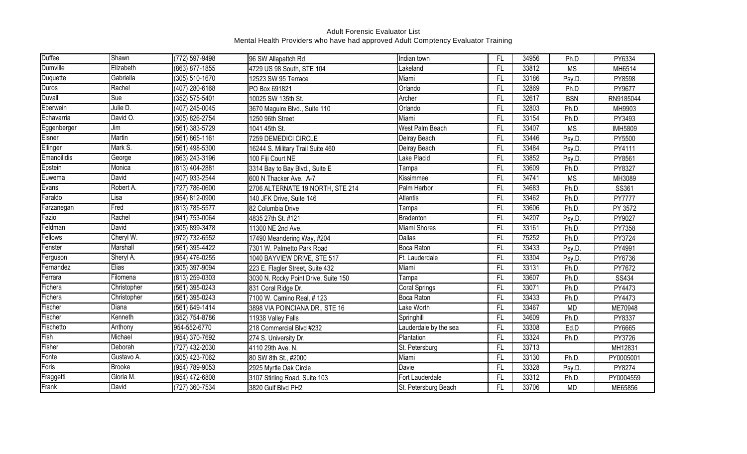| <b>Duffee</b> | Shawn           | $(772) 597 - 9498$ | 96 SW Allapattch Rd                  | Indian town           | FL.             | 34956 | Ph.D       | PY6334         |
|---------------|-----------------|--------------------|--------------------------------------|-----------------------|-----------------|-------|------------|----------------|
| Dumville      | Elizabeth       | (863) 877-1855     | 4729 US 98 South, STE 104            | Lakeland              | FL.             | 33812 | <b>MS</b>  | MH6514         |
| Duquette      | Gabriella       | (305) 510-1670     | 12523 SW 95 Terrace                  | Miami                 | FL              | 33186 | Psy.D.     | PY8598         |
| <b>Duros</b>  | Rachel          | (407) 280-6168     | PO Box 691821                        | Orlando               | FL.             | 32869 | Ph.D       | PY9677         |
| Duvall        | Sue             | (352) 575-5401     | 10025 SW 135th St.                   | Archer                | FL.             | 32617 | <b>BSN</b> | RN9185044      |
| Eberwein      | Julie D.        | (407) 245-0045     | 3670 Maguire Blvd., Suite 110        | Orlando               | FL.             | 32803 | Ph.D.      | MH9903         |
| Echavarria    | David O.        | (305) 826-2754     | 1250 96th Street                     | Miami                 | FL.             | 33154 | Ph.D.      | PY3493         |
| Eggenberger   | Jim             | (561) 383-5729     | 1041 45th St.                        | West Palm Beach       | $\overline{FL}$ | 33407 | <b>MS</b>  | <b>IMH5809</b> |
| Eisner        | Martin          | $(561) 865 - 1161$ | 7259 DEMEDICI CIRCLE                 | Delray Beach          | FL.             | 33446 | Psy.D.     | PY5500         |
| Ellinger      | Mark S.         | (561) 498-5300     | 16244 S. Military Trail Suite 460    | Delray Beach          | $\overline{FL}$ | 33484 | Psy.D.     | PY4111         |
| Emanoilidis   | George          | (863) 243-3196     | 100 Fiji Court NE                    | Lake Placid           | FL              | 33852 | Psy.D.     | PY8561         |
| Epstein       | Monica          | (813) 404-2881     | 3314 Bay to Bay Blvd., Suite E       | Tampa                 | FL.             | 33609 | Ph.D.      | PY8327         |
| Euwema        | David           | (407) 933-2544     | 600 N Thacker Ave. A-7               | Kissimmee             | FL.             | 34741 | <b>MS</b>  | MH3089         |
| Evans         | Robert A.       | (727) 786-0600     | 2706 ALTERNATE 19 NORTH, STE 214     | Palm Harbor           | FL.             | 34683 | Ph.D.      | SS361          |
| Faraldo       | Lisa            | (954) 812-0900     | 140 JFK Drive, Suite 146             | <b>Atlantis</b>       | $\overline{FL}$ | 33462 | Ph.D.      | <b>PY7777</b>  |
| Farzanegan    | Fred            | (813) 785-5577     | 82 Columbia Drive                    | Tampa                 | FL              | 33606 | Ph.D.      | PY 3572        |
| Fazio         | Rachel          | (941) 753-0064     | 4835 27th St. #121                   | Bradenton             | FL.             | 34207 | Psy.D.     | PY9027         |
| Feldman       | <b>David</b>    | (305) 899-3478     | 11300 NE 2nd Ave.                    | Miami Shores          | FL              | 33161 | Ph.D.      | PY7358         |
| Fellows       | Cheryl W.       | (972) 732-6552     | 17490 Meandering Way, #204           | Dallas                | $\overline{FL}$ | 75252 | Ph.D.      | PY3724         |
| Fenster       | <b>Marshall</b> | (561) 395-4422     | 7301 W. Palmetto Park Road           | <b>Boca Raton</b>     | FL.             | 33433 | Psy.D.     | PY4991         |
| Ferguson      | Sheryl A.       | (954) 476-0255     | 1040 BAYVIEW DRIVE, STE 517          | Ft. Lauderdale        | $\overline{FL}$ | 33304 | Psy.D.     | PY6736         |
| Fernandez     | Elias           | (305) 397-9094     | 223 E. Flagler Street, Suite 432     | Miami                 | $\overline{FL}$ | 33131 | Ph.D.      | PY7672         |
| Ferrara       | Filomena        | (813) 259-0303     | 3030 N. Rocky Point Drive, Suite 150 | Tampa                 | FL              | 33607 | Ph.D.      | SS434          |
| Fichera       | Christopher     | (561) 395-0243     | 831 Coral Ridge Dr.                  | Coral Springs         | FL.             | 33071 | Ph.D.      | PY4473         |
| Fichera       | Christopher     | (561) 395-0243     | 7100 W. Camino Real, #123            | Boca Raton            | FL.             | 33433 | Ph.D.      | PY4473         |
| Fischer       | Diana           | (561) 649-1414     | 3898 VIA POINCIANA DR., STE 16       | Lake Worth            | FL.             | 33467 | <b>MD</b>  | ME70948        |
| Fischer       | Kenneth         | (352) 754-8786     | 11938 Valley Falls                   | Springhill            | FL              | 34609 | Ph.D.      | PY8337         |
| Fischetto     | Anthony         | 954-552-6770       | 218 Commercial Blvd #232             | Lauderdale by the sea | $\overline{FL}$ | 33308 | Ed.D       | PY6665         |
| Fish          | Michael         | (954) 370-7692     | 274 S. University Dr.                | Plantation            | FL.             | 33324 | Ph.D.      | PY3726         |
| Fisher        | Deborah         | (727) 432-2030     | 4110 29th Ave. N.                    | St. Petersburg        | FL.             | 33713 |            | MH12831        |
| Fonte         | Gustavo A.      | (305) 423-7062     | 80 SW 8th St., #2000                 | Miami                 | FL.             | 33130 | Ph.D.      | PY0005001      |
| Foris         | <b>Brooke</b>   | (954) 789-9053     | 2925 Myrtle Oak Circle               | Davie                 | FL              | 33328 | Psy.D.     | PY8274         |
| Fraggetti     | Gloria M.       | (954) 472-6808     | 3107 Stirling Road, Suite 103        | Fort Lauderdale       | FL.             | 33312 | Ph.D.      | PY0004559      |
| Frank         | David           | (727) 360-7534     | 3820 Gulf Blvd PH2                   | St. Petersburg Beach  | FL.             | 33706 | <b>MD</b>  | ME65856        |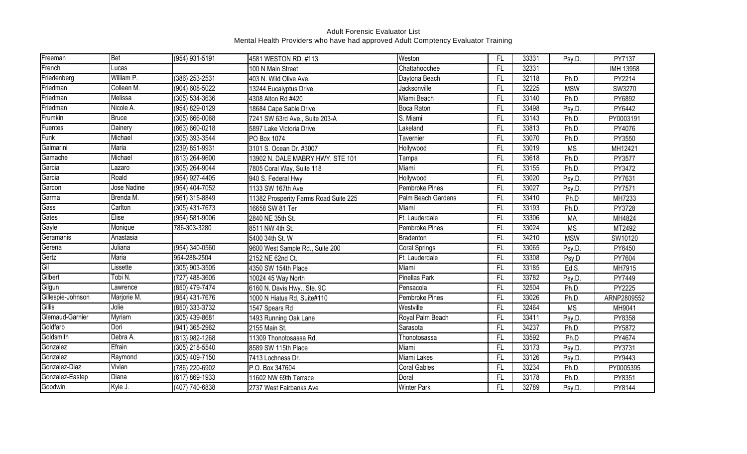| Freeman           | <b>Bet</b>   | (954) 931-5191     | 4581 WESTON RD. #113                  | Weston               | FL        | 33331 | Psy.D.     | PY7137      |
|-------------------|--------------|--------------------|---------------------------------------|----------------------|-----------|-------|------------|-------------|
| French            | Lucas        |                    | 100 N Main Street                     | Chattahoochee        | <b>FL</b> | 32331 |            | IMH 13958   |
| Friedenberg       | William P.   | $(386)$ 253-2531   | 403 N. Wild Olive Ave.                | Daytona Beach        | FL        | 32118 | Ph.D.      | PY2214      |
| Friedman          | Colleen M.   | (904) 608-5022     | 13244 Eucalyptus Drive                | Jacksonville         | FL        | 32225 | <b>MSW</b> | SW3270      |
| Friedman          | Melissa      | (305) 534-3636     | 4308 Alton Rd #420                    | Miami Beach          | FL        | 33140 | Ph.D.      | PY6892      |
| Friedman          | Nicole A.    | (954) 829-0129     | 18684 Cape Sable Drive                | Boca Raton           | FL        | 33498 | Psy.D.     | PY6442      |
| Frumkin           | <b>Bruce</b> | (305) 666-0068     | 7241 SW 63rd Ave., Suite 203-A        | S. Miami             | FL        | 33143 | Ph.D.      | PY0003191   |
| Fuentes           | Dainery      | $(863) 660 - 0218$ | 5897 Lake Victoria Drive              | Lakeland             | <b>FL</b> | 33813 | Ph.D.      | PY4076      |
| Funk              | Michael      | $(305)$ 393-3544   | PO Box 1074                           | Tavernier            | <b>FL</b> | 33070 | Ph.D.      | PY3550      |
| Galmarini         | <b>Maria</b> | (239) 851-9931     | 3101 S. Ocean Dr. #3007               | Hollywood            | <b>FL</b> | 33019 | <b>MS</b>  | MH12421     |
| Gamache           | Michael      | (813) 264-9600     | 13902 N. DALE MABRY HWY, STE 101      | Tampa                | <b>FL</b> | 33618 | Ph.D.      | PY3577      |
| Garcia            | Lazaro       | (305) 264-9044     | 7805 Coral Way, Suite 118             | Miami                | <b>FL</b> | 33155 | Ph.D.      | PY3472      |
| Garcia            | Roald        | (954) 927-4405     | 940 S. Federal Hwy                    | Hollywood            | <b>FL</b> | 33020 | Psy.D.     | PY7631      |
| Garcon            | Jose Nadine  | (954) 404-7052     | 1133 SW 167th Ave                     | Pembroke Pines       | FL        | 33027 | Psy.D.     | PY7571      |
| Garma             | Brenda M.    | (561) 315-8849     | 11382 Prosperity Farms Road Suite 225 | Palm Beach Gardens   | <b>FL</b> | 33410 | Ph.D       | MH7233      |
| Gass              | Carlton      | (305) 431-7673     | 16658 SW 81 Ter                       | Miami                | FL        | 33193 | Ph.D.      | PY3728      |
| Gates             | Elise        | (954) 581-9006     | 2840 NE 35th St.                      | Ft. Lauderdale       | FL        | 33306 | <b>MA</b>  | MH4824      |
| Gayle             | Monique      | 786-303-3280       | 8511 NW 4th St.                       | Pembroke Pines       | FL        | 33024 | <b>MS</b>  | MT2492      |
| Geramanis         | Anastasia    |                    | 5400 34th St. W                       | Bradenton            | FL        | 34210 | <b>MSW</b> | SW10120     |
| Gerena            | Juliana      | (954) 340-0560     | 9600 West Sample Rd., Suite 200       | <b>Coral Springs</b> | FL        | 33065 | Psy.D.     | PY6450      |
| Gertz             | Maria        | 954-288-2504       | 2152 NE 62nd Ct.                      | Ft. Lauderdale       | FL        | 33308 | Psy.D      | PY7604      |
| Gil               | Lissette     | (305) 903-3505     | 4350 SW 154th Place                   | Miami                | <b>FL</b> | 33185 | Ed.S.      | MH7915      |
| Gilbert           | Tobi N.      | (727) 488-3605     | 10024 45 Way North                    | <b>Pinellas Park</b> | FL        | 33782 | Psy.D.     | PY7449      |
| Gilgun            | Lawrence     | (850) 479-7474     | 6160 N. Davis Hwy., Ste. 9C           | Pensacola            | FL        | 32504 | Ph.D.      | PY2225      |
| Gillespie-Johnson | Marjorie M.  | (954) 431-7676     | 1000 N Hiatus Rd, Suite#110           | Pembroke Pines       | FL        | 33026 | Ph.D.      | ARNP2809552 |
| Gillis            | Jolie        | (850) 333-3732     | 1547 Spears Rd                        | Westville            | FL        | 32464 | <b>MS</b>  | MH9041      |
| Glemaud-Garnier   | Myriam       | (305) 439-8681     | 1493 Running Oak Lane                 | Royal Palm Beach     | FL        | 33411 | Psy.D.     | PY8358      |
| Goldfarb          | Dori         | (941) 365-2962     | 2155 Main St.                         | Sarasota             | FL        | 34237 | Ph.D.      | PY5872      |
| Goldsmith         | Debra A.     | (813) 982-1268     | 11309 Thonotosassa Rd.                | Thonotosassa         | <b>FL</b> | 33592 | Ph.D       | PY4674      |
| Gonzalez          | Efrain       | (305) 218-5540     | 8589 SW 115th Place                   | Miami                | <b>FL</b> | 33173 | Psy.D.     | PY3731      |
| Gonzalez          | Raymond      | (305) 409-7150     | 7413 Lochness Dr.                     | Miami Lakes          | FL        | 33126 | Psy.D.     | PY9443      |
| Gonzalez-Diaz     | Vivian       | (786) 220-6902     | P.O. Box 347604                       | <b>Coral Gables</b>  | <b>FL</b> | 33234 | Ph.D.      | PY0005395   |
| Gonzalez-Eastep   | Diana        | (617) 869-1933     | 11602 NW 69th Terrace                 | Doral                | FL        | 33178 | Ph.D.      | PY8351      |
| Goodwin           | Kyle J.      | (407) 740-6838     | 2737 West Fairbanks Ave               | <b>Winter Park</b>   | <b>FL</b> | 32789 | Psy.D.     | PY8144      |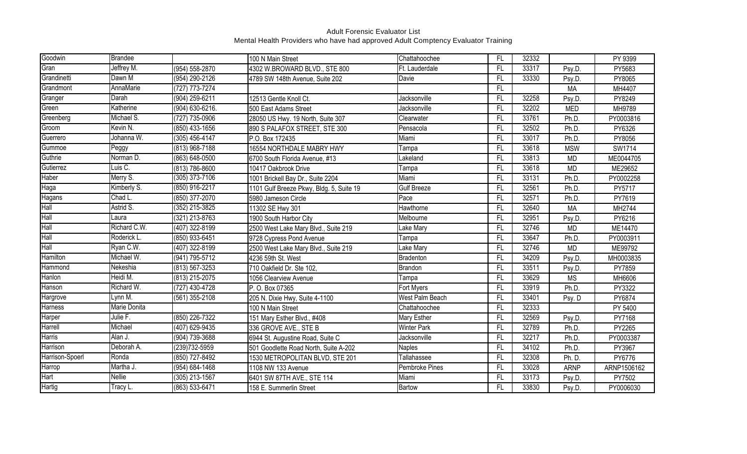| Goodwin         | <b>Brandee</b> |                    | 100 N Main Street                        | Chattahoochee      | FL.             | 32332 |             | PY 9399     |
|-----------------|----------------|--------------------|------------------------------------------|--------------------|-----------------|-------|-------------|-------------|
| Gran            | Jeffrey M.     | (954) 558-2870     | 4302 W.BROWARD BLVD., STE 800            | Ft. Lauderdale     | FL              | 33317 | Psy.D.      | PY5683      |
| Grandinetti     | Dawn M         | (954) 290-2126     | 4789 SW 148th Avenue, Suite 202          | Davie              | FL              | 33330 | Psy.D.      | PY8065      |
| Grandmont       | AnnaMarie      | (727) 773-7274     |                                          |                    | FL.             |       | <b>MA</b>   | MH4407      |
| Granger         | Darah          | (904) 259-6211     | 12513 Gentle Knoll Ct.                   | Jacksonville       | FL              | 32258 | Psy.D.      | PY8249      |
| Green           | Katherine      | (904) 630-6216.    | 500 East Adams Street                    | Jacksonville       | FL.             | 32202 | <b>MED</b>  | MH9789      |
| Greenberg       | Michael S.     | (727) 735-0906     | 28050 US Hwy. 19 North, Suite 307        | Clearwater         | FL.             | 33761 | Ph.D.       | PY0003816   |
| Groom           | Kevin N.       | (850) 433-1656     | 890 S PALAFOX STREET, STE 300            | Pensacola          | $\overline{FL}$ | 32502 | Ph.D.       | PY6326      |
| Guerrero        | Johanna W.     | (305) 456-4147     | P.O. Box 172435                          | Miami              | FL              | 33017 | Ph.D.       | PY8056      |
| Gummoe          | Peggy          | (813) 968-7188     | 16554 NORTHDALE MABRY HWY                | Tampa              | FL              | 33618 | <b>MSW</b>  | SW1714      |
| Guthrie         | Norman D.      | (863) 648-0500     | 6700 South Florida Avenue, #13           | Lakeland           | FL              | 33813 | <b>MD</b>   | ME0044705   |
| Gutierrez       | Luis C.        | (813) 786-8600     | 10417 Oakbrook Drive                     | Tampa              | FL              | 33618 | <b>MD</b>   | ME29652     |
| <b>Haber</b>    | Merry S.       | $(305)$ 373-7106   | 1001 Brickell Bay Dr., Suite 2204        | Miami              | FL              | 33131 | Ph.D.       | PY0002258   |
| Haga            | Kimberly S.    | (850) 916-2217     | 1101 Gulf Breeze Pkwy, Bldg. 5, Suite 19 | <b>Gulf Breeze</b> | FL.             | 32561 | Ph.D.       | PY5717      |
| Hagans          | Chad L.        | (850) 377-2070     | 5980 Jameson Circle                      | Pace               | FL              | 32571 | Ph.D.       | PY7619      |
| Hall            | Astrid S.      | (352) 215-3825     | 11302 SE Hwy 301                         | Hawthorne          | $\overline{FL}$ | 32640 | <b>MA</b>   | MH2744      |
| Hall            | Laura          | (321) 213-8763     | 1900 South Harbor City                   | Melbourne          | FL.             | 32951 | Psy.D.      | PY6216      |
| Hall            | Richard C.W.   | (407) 322-8199     | 2500 West Lake Mary Blvd., Suite 219     | Lake Mary          | FL.             | 32746 | <b>MD</b>   | ME14470     |
| Hall            | Roderick L.    | (850) 933-6451     | 9728 Cypress Pond Avenue                 | Tampa              | FL              | 33647 | Ph.D.       | PY0003911   |
| Hall            | Ryan C.W.      | (407) 322-8199     | 2500 West Lake Mary Blvd., Suite 219     | Lake Mary          | FL              | 32746 | <b>MD</b>   | ME99792     |
| Hamilton        | Michael W.     | (941) 795-5712     | 4236 59th St. West                       | Bradenton          | FL              | 34209 | Psy.D.      | MH0003835   |
| Hammond         | Nekeshia       | (813) 567-3253     | 710 Oakfield Dr. Ste 102,                | Brandon            | FL.             | 33511 | Psy.D       | PY7859      |
| Hanlon          | Heidi M.       | (813) 215-2075     | 1056 Clearview Avenue                    | Tampa              | FL              | 33629 | <b>MS</b>   | MH6606      |
| Hanson          | Richard W.     | (727) 430-4728     | P. O. Box 07365                          | Fort Myers         | FL              | 33919 | Ph.D.       | PY3322      |
| Hargrove        | Lynn M.        | (561) 355-2108     | 205 N. Dixie Hwy, Suite 4-1100           | West Palm Beach    | FL.             | 33401 | Psy. D      | PY6874      |
| Harness         | Marie Donita   |                    | 100 N Main Street                        | Chattahoochee      | $\mathsf{FL}$   | 32333 |             | PY 5400     |
| Harper          | Julie F.       | (850) 226-7322     | 151 Mary Esther Blvd., #408              | Mary Esther        | FL.             | 32569 | Psy.D.      | PY7168      |
| Harrell         | Michael        | (407) 629-9435     | 336 GROVE AVE., STE B                    | <b>Winter Park</b> | FL.             | 32789 | Ph.D.       | PY2265      |
| <b>Harris</b>   | Alan J.        | (904) 739-3688     | 6944 St. Augustine Road, Suite C         | Jacksonville       | FL              | 32217 | Ph.D.       | PY0003387   |
| Harrison        | Deborah A.     | (239)732-5959      | 501 Goodlette Road North, Suite A-202    | <b>Naples</b>      | FL              | 34102 | Ph.D.       | PY3967      |
| Harrison-Spoerl | Ronda          | (850) 727-8492     | 1530 METROPOLITAN BLVD, STE 201          | Tallahassee        | FL              | 32308 | Ph. D.      | PY6776      |
| Harrop          | Martha J.      | (954) 684-1468     | 1108 NW 133 Avenue                       | Pembroke Pines     | FL              | 33028 | <b>ARNP</b> | ARNP1506162 |
| Hart            | <b>Nellie</b>  | (305) 213-1567     | 6401 SW 87TH AVE., STE 114               | Miami              | FL.             | 33173 | Psy.D.      | PY7502      |
| <b>Hartig</b>   | Tracy L.       | $(863) 533 - 6471$ | 158 E. Summerlin Street                  | Bartow             | FL.             | 33830 | Psy.D.      | PY0006030   |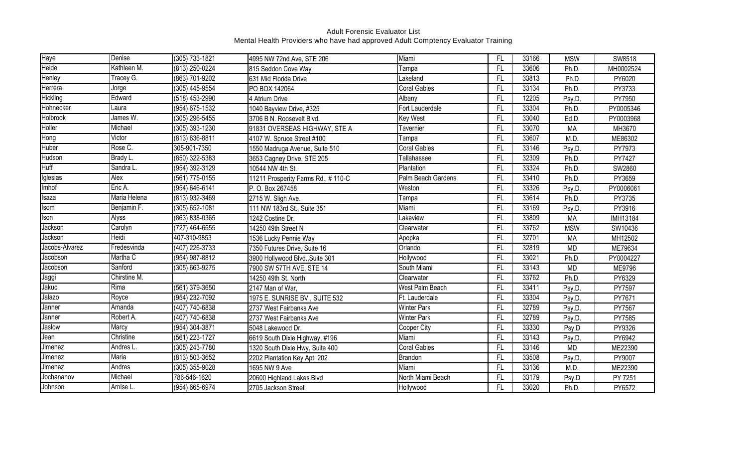| <b>Haye</b>    | Denise       | (305) 733-1821 | 4995 NW 72nd Ave, STE 206          | Miami               | FL.             | 33166 | <b>MSW</b> | SW8518          |
|----------------|--------------|----------------|------------------------------------|---------------------|-----------------|-------|------------|-----------------|
| Heide          | Kathleen M.  | (813) 250-0224 | 815 Seddon Cove Way                | Tampa               | $\overline{FL}$ | 33606 | Ph.D.      | MH0002524       |
| Henley         | Tracey G.    | (863) 701-9202 | 631 Mid Florida Drive              | Lakeland            | FL              | 33813 | Ph.D       | PY6020          |
| Herrera        | Jorge        | (305) 445-9554 | PO BOX 142064                      | <b>Coral Gables</b> | FL.             | 33134 | Ph.D.      | PY3733          |
| Hickling       | Edward       | (518) 453-2990 | 4 Atrium Drive                     | Albany              | FL.             | 12205 | Psy.D.     | PY7950          |
| Hohnecker      | Laura        | (954) 675-1532 | 1040 Bayview Drive, #325           | Fort Lauderdale     | FL.             | 33304 | Ph.D.      | PY0005346       |
| Holbrook       | James W.     | (305) 296-5455 | 3706 B N. Roosevelt Blvd.          | Key West            | FL              | 33040 | Ed.D.      | PY0003968       |
| Holler         | Michael      | (305) 393-1230 | 91831 OVERSEAS HIGHWAY, STE A      | <b>Tavernier</b>    | $\overline{FL}$ | 33070 | <b>MA</b>  | MH3670          |
| Hong           | Victor       | (813) 636-8811 | 4107 W. Spruce Street #100         | Tampa               | $\overline{FL}$ | 33607 | M.D.       | ME86302         |
| Huber          | Rose C.      | 305-901-7350   | 1550 Madruga Avenue, Suite 510     | Coral Gables        | FL              | 33146 | Psy.D.     | PY7973          |
| Hudson         | Brady L.     | (850) 322-5383 | 3653 Cagney Drive, STE 205         | Tallahassee         | FL.             | 32309 | Ph.D.      | PY7427          |
| Huff           | Sandra L.    | (954) 392-3129 | 10544 NW 4th St.                   | Plantation          | FL.             | 33324 | Ph.D.      | SW2860          |
| Iglesias       | Alex         | (561) 775-0155 | 11211 Prosperity Farms Rd., #110-C | Palm Beach Gardens  | FL.             | 33410 | Ph.D.      | PY3659          |
| Imhof          | Eric A.      | (954) 646-6141 | P. O. Box 267458                   | Weston              | FL.             | 33326 | Psy.D.     | PY0006061       |
| Isaza          | Maria Helena | (813) 932-3469 | 2715 W. Sligh Ave.                 | Tampa               | F <sub>L</sub>  | 33614 | Ph.D.      | PY3735          |
| Isom           | Benjamin F.  | (305) 652-1081 | 111 NW 183rd St., Suite 351        | Miami               | FL              | 33169 | Psy.D.     | PY3916          |
| Ison           | Alyss        | (863) 838-0365 | 1242 Costine Dr.                   | Lakeview            | FL.             | 33809 | <b>MA</b>  | <b>IMH13184</b> |
| Jackson        | Carolyn      | (727) 464-6555 | 14250 49th Street N                | Clearwater          | FL.             | 33762 | <b>MSW</b> | SW10436         |
| Jackson        | Heidi        | 407-310-9853   | 1536 Lucky Pennie Way              | Apopka              | FL.             | 32701 | <b>MA</b>  | MH12502         |
| Jacobs-Alvarez | Fredesvinda  | (407) 226-3733 | 7350 Futures Drive, Suite 16       | Orlando             | FL              | 32819 | <b>MD</b>  | ME79634         |
| Jacobson       | Martha C     | (954) 987-8812 | 3900 Hollywood Blvd., Suite 301    | Hollywood           | FL              | 33021 | Ph.D.      | PY0004227       |
| Jacobson       | Sanford      | (305) 663-9275 | 7900 SW 57TH AVE, STE 14           | South Miami         | FL.             | 33143 | <b>MD</b>  | ME9796          |
| Jaggi          | Chirstine M. |                | 14250 49th St. North               | Clearwater          | FL              | 33762 | Ph.D.      | PY6329          |
| Jakuc          | Rima         | (561) 379-3650 | 2147 Man of War,                   | West Palm Beach     | FL.             | 33411 | Psy.D.     | PY7597          |
| Jalazo         | Royce        | (954) 232-7092 | 1975 E. SUNRISE BV., SUITE 532     | Ft. Lauderdale      | FL.             | 33304 | Psy.D.     | PY7671          |
| Janner         | Amanda       | (407) 740-6838 | 2737 West Fairbanks Ave            | <b>Winter Park</b>  | FL.             | 32789 | Psy.D.     | PY7567          |
| Janner         | Robert A.    | (407) 740-6838 | 2737 West Fairbanks Ave            | <b>Winter Park</b>  | FL.             | 32789 | Psy.D.     | PY7585          |
| Jaslow         | Marcy        | (954) 304-3871 | 5048 Lakewood Dr.                  | Cooper City         | $\overline{FL}$ | 33330 | Psy.D      | PY9326          |
| Jean           | Christine    | (561) 223-1727 | 6619 South Dixie Highway, #196     | Miami               | FL.             | 33143 | Psy.D.     | PY6942          |
| Jimenez        | Andres L.    | (305) 243-7780 | 1320 South Dixie Hwy, Suite 400    | <b>Coral Gables</b> | FL.             | 33146 | <b>MD</b>  | ME22390         |
| Jimenez        | Maria        | (813) 503-3652 | 2202 Plantation Key Apt. 202       | Brandon             | FL.             | 33508 | Psy.D.     | PY9007          |
| Jimenez        | Andres       | (305) 355-9028 | 1695 NW 9 Ave                      | Miami               | FL.             | 33136 | M.D.       | ME22390         |
| Jochananov     | Michael      | 786-546-1620   | 20600 Highland Lakes Blvd          | North Miami Beach   | FL.             | 33179 | Psy.D      | PY 7251         |
| Johnson        | Arnise L.    | (954) 665-6974 | 2705 Jackson Street                | Hollywood           | $\overline{FL}$ | 33020 | Ph.D.      | PY6572          |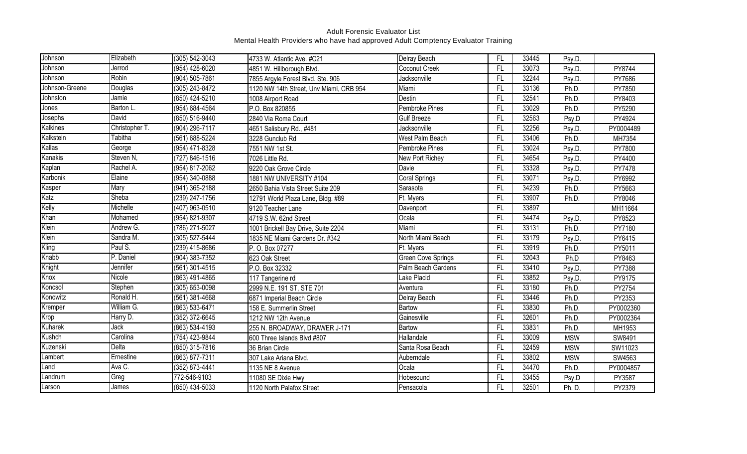| Johnson        | Elizabeth      | (305) 542-3043     | 4733 W. Atlantic Ave. #C21              | Delray Beach         | FL              | 33445 | Psy.D.     |           |
|----------------|----------------|--------------------|-----------------------------------------|----------------------|-----------------|-------|------------|-----------|
| Johnson        | Jerrod         | (954) 428-6020     | 4851 W. Hillborough Blvd.               | Coconut Creek        | FL.             | 33073 | Psy.D.     | PY8744    |
| Johnson        | Robin          | (904) 505-7861     | 7855 Argyle Forest Blvd. Ste. 906       | Jacksonville         | FL.             | 32244 | Psy.D.     | PY7686    |
| Johnson-Greene | Douglas        | (305) 243-8472     | 1120 NW 14th Street, Unv Miami, CRB 954 | Miami                | FL              | 33136 | Ph.D.      | PY7850    |
| Johnston       | Jamie          | (850) 424-5210     | 1008 Airport Road                       | Destin               | FL              | 32541 | Ph.D.      | PY8403    |
| Jones          | Barton L.      | (954) 684-4564     | P.O. Box 820855                         | Pembroke Pines       | FL              | 33029 | Ph.D.      | PY5290    |
| Josephs        | David          | (850) 516-9440     | 2840 Via Roma Court                     | <b>Gulf Breeze</b>   | FL.             | 32563 | Psy.D      | PY4924    |
| Kalkines       | Christopher T. | (904) 296-7117     | 4651 Salisbury Rd., #481                | Jacksonville         | $\overline{FL}$ | 32256 | Psy.D.     | PY0004489 |
| Kalkstein      | Tabitha        | $(561) 688 - 5224$ | 3228 Gunclub Rd                         | West Palm Beach      | FL              | 33406 | Ph.D.      | MH7354    |
| Kallas         | George         | (954) 471-8328     | 7551 NW 1st St.                         | Pembroke Pines       | FL              | 33024 | Psy.D.     | PY7800    |
| Kanakis        | Steven N,      | (727) 846-1516     | 7026 Little Rd.                         | New Port Richey      | FL              | 34654 | Psy.D.     | PY4400    |
| Kaplan         | Rachel A.      | (954) 817-2062     | 9220 Oak Grove Circle                   | Davie                | FL.             | 33328 | Psy.D.     | PY7478    |
| Karbonik       | Elaine         | (954) 340-0888     | 1881 NW UNIVERSITY #104                 | <b>Coral Springs</b> | FL.             | 33071 | Psy.D.     | PY6992    |
| Kasper         | Mary           | (941) 365-2188     | 2650 Bahia Vista Street Suite 209       | Sarasota             | FL              | 34239 | Ph.D.      | PY5663    |
| Katz           | Sheba          | (239) 247-1756     | 12791 World Plaza Lane, Bldg. #89       | Ft. Myers            | $\overline{FL}$ | 33907 | Ph.D.      | PY8046    |
| Kelly          | Michelle       | (407) 963-0510     | 9120 Teacher Lane                       | Davenport            | FL.             | 33897 |            | MH11664   |
| Khan           | Mohamed        | (954) 821-9307     | 4719 S.W. 62nd Street                   | Ocala                | FL.             | 34474 | Psy.D.     | PY8523    |
| Klein          | Andrew G.      | (786) 271-5027     | 1001 Brickell Bay Drive, Suite 2204     | Miami                | FL.             | 33131 | Ph.D.      | PY7180    |
| Klein          | Sandra M.      | (305) 527-5444     | 1835 NE Miami Gardens Dr. #342          | North Miami Beach    | FL.             | 33179 | Psy.D.     | PY6415    |
| Kling          | Paul S.        | (239) 415-8686     | P. O. Box 07277                         | Ft. Myers            | FL              | 33919 | Ph.D.      | PY5011    |
| Knabb          | P. Daniel      | (904) 383-7352     | 623 Oak Street                          | Green Cove Springs   | FL.             | 32043 | Ph.D       | PY8463    |
| Knight         | Jennifer       | (561) 301-4515     | P.O. Box 32332                          | Palm Beach Gardens   | FL.             | 33410 | Psy.D.     | PY7388    |
| Knox           | Nicole         | (863) 491-4865     | 117 Tangerine rd                        | Lake Placid          | FL.             | 33852 | Psy.D.     | PY9175    |
| Koncsol        | Stephen        | (305) 653-0098     | 2999 N.E. 191 ST, STE 701               | Aventura             | FL              | 33180 | Ph.D.      | PY2754    |
| Konowitz       | Ronald H.      | (561) 381-4668     | 6871 Imperial Beach Circle              | Delray Beach         | FL.             | 33446 | Ph.D.      | PY2353    |
| Kremper        | William G.     | (863) 533-6471     | 158 E. Summerlin Street                 | Bartow               | FL              | 33830 | Ph.D.      | PY0002360 |
| Krop           | Harry D.       | (352) 372-6645     | 1212 NW 12th Avenue                     | Gainesville          | FL              | 32601 | Ph.D.      | PY0002364 |
| Kuharek        | Jack           | (863) 534-4193     | 255 N. BROADWAY, DRAWER J-171           | Bartow               | FL.             | 33831 | Ph.D.      | MH1953    |
| Kushch         | Carolina       | (754) 423-9844     | 600 Three Islands Blvd #807             | Hallandale           | FL              | 33009 | <b>MSW</b> | SW8491    |
| Kuzenski       | Delta          | (850) 315-7816     | 36 Brian Circle                         | Santa Rosa Beach     | FL.             | 32459 | <b>MSW</b> | SW11023   |
| Lambert        | Ernestine      | (863) 877-7311     | 307 Lake Ariana Blvd.                   | Auberndale           | FL              | 33802 | <b>MSW</b> | SW4563    |
| Land           | Ava C.         | (352) 873-4441     | 1135 NE 8 Avenue                        | Ocala                | FL              | 34470 | Ph.D.      | PY0004857 |
| Landrum        | Greg           | 772-546-9103       | 11080 SE Dixie Hwy                      | Hobesound            | FL.             | 33455 | Psy.D      | PY3587    |
| Larson         | James          | (850) 434-5033     | 1120 North Palafox Street               | Pensacola            | FL.             | 32501 | Ph. D.     | PY2379    |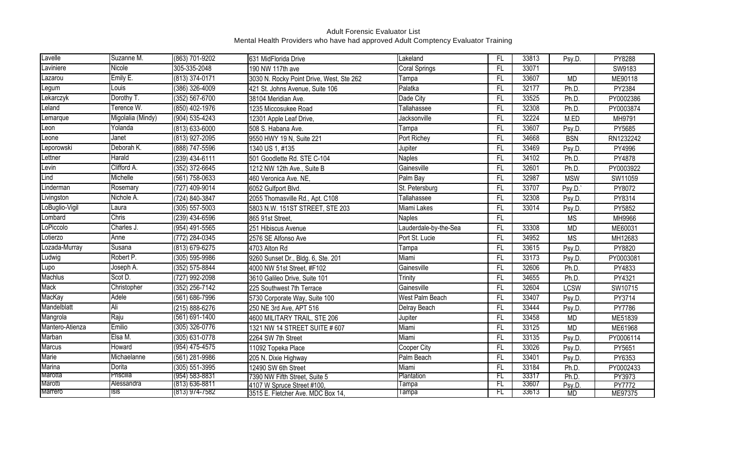| Lavelle         | Suzanne M.        | (863) 701-9202     | 631 MidFlorida Drive                     | Lakeland              | FL              | 33813 | Psy.D.      | PY8288        |
|-----------------|-------------------|--------------------|------------------------------------------|-----------------------|-----------------|-------|-------------|---------------|
| Laviniere       | Nicole            | 305-335-2048       | 190 NW 117th ave                         | <b>Coral Springs</b>  | FL              | 33071 |             | SW9183        |
| azarou          | Emily E.          | $(813)$ 374-0171   | 3030 N. Rocky Point Drive, West, Ste 262 | Tampa                 | FL              | 33607 | <b>MD</b>   | ME90118       |
| Legum           | Louis             | (386) 326-4009     | 421 St. Johns Avenue, Suite 106          | Palatka               | FL              | 32177 | Ph.D.       | PY2384        |
| Lekarczyk       | Dorothy T.        | (352) 567-6700     | 38104 Meridian Ave.                      | Dade City             | FL.             | 33525 | Ph.D.       | PY0002386     |
| Leland          | Terence W.        | (850) 402-1976     | 1235 Miccosukee Road                     | Tallahassee           | FL.             | 32308 | Ph.D.       | PY0003874     |
| emarque         | Migolalia (Mindy) | (904) 535-4243     | 12301 Apple Leaf Drive,                  | Jacksonville          | FL              | 32224 | M.ED        | MH9791        |
| Leon            | Yolanda           | (813) 633-6000     | 508 S. Habana Ave.                       | Tampa                 | FL.             | 33607 | Psy.D.      | PY5685        |
| eone            | Janet             | (813) 927-2095     | 9550 HWY 19 N, Suite 221                 | Port Richey           | FL.             | 34668 | <b>BSN</b>  | RN1232242     |
| Leporowski      | Deborah K.        | (888) 747-5596     | 1340 US 1, #135                          | Jupiter               | FL              | 33469 | Psy.D.      | PY4996        |
| Lettner         | Harald            | (239) 434-6111     | 501 Goodlette Rd. STE C-104              | <b>Naples</b>         | FL              | 34102 | Ph.D.       | PY4878        |
| Levin           | Clifford A.       | (352) 372-6645     | 1212 NW 12th Ave., Suite B               | Gainesville           | $\overline{FL}$ | 32601 | Ph.D.       | PY0003922     |
| Lind            | Michelle          | (561) 758-0633     | 460 Veronica Ave. NE,                    | Palm Bay              | FL              | 32987 | <b>MSW</b>  | SW11059       |
| Linderman       | Rosemary          | (727) 409-9014     | 6052 Gulfport Blvd.                      | St. Petersburg        | FL.             | 33707 | Psy.D.      | PY8072        |
| Livingston      | Nichole A.        | (724) 840-3847     | 2055 Thomasville Rd., Apt. C108          | Tallahassee           | FL.             | 32308 | Psy.D.      | PY8314        |
| LoBuglio-Vigil  | Laura             | (305) 557-5003     | 5803 N.W. 151ST STREET, STE 203          | Miami Lakes           | FL              | 33014 | Psy.D.      | PY5852        |
| Lombard         | Chris             | (239) 434-6596     | 865 91st Street,                         | <b>Naples</b>         | FL              |       | <b>MS</b>   | MH9966        |
| _oPiccolo       | Charles J.        | (954) 491-5565     | 251 Hibiscus Avenue                      | Lauderdale-by-the-Sea | FL              | 33308 | <b>MD</b>   | ME60031       |
| _otierzo        | Anne              | (772) 284-0345     | 2576 SE Alfonso Ave                      | Port St. Lucie        | FL              | 34952 | <b>MS</b>   | MH12683       |
| Lozada-Murray   | Susana            | (813) 679-6275     | 4703 Alton Rd                            | Tampa                 | FL              | 33615 | Psy.D.      | PY8820        |
| Ludwig          | Robert P.         | (305) 595-9986     | 9260 Sunset Dr., Bldg. 6, Ste. 201       | Miami                 | FL              | 33173 | Psy.D.      | PY0003081     |
| Lupo            | Joseph A.         | (352) 575-8844     | 4000 NW 51st Street, #F102               | Gainesville           | FL              | 32606 | Ph.D.       | PY4833        |
| <b>Machlus</b>  | Scot D.           | (727) 992-2098     | 3610 Galileo Drive, Suite 101            | Trinity               | FL              | 34655 | Ph.D.       | PY4321        |
| Mack            | Christopher       | (352) 256-7142     | 225 Southwest 7th Terrace                | Gainesville           | FL.             | 32604 | <b>LCSW</b> | SW10715       |
| MacKay          | Adele             | (561) 686-7996     | 5730 Corporate Way, Suite 100            | West Palm Beach       | FL              | 33407 | Psy.D.      | PY3714        |
| Mandelblatt     | Ali               | (215) 888-6276     | 250 NE 3rd Ave, APT 516                  | Delray Beach          | FL.             | 33444 | Psy.D.      | PY7786        |
| Mangrola        | Raju              | $(561) 691 - 1400$ | 4600 MILITARY TRAIL, STE 206             | Jupiter               | FL              | 33458 | <b>MD</b>   | ME51839       |
| Mantero-Atienza | Emilio            | $(305)$ 326-0776   | 1321 NW 14 STREET SUITE # 607            | Miami                 | $\overline{FL}$ | 33125 | <b>MD</b>   | ME61968       |
| Marban          | Elsa M.           | (305) 631-0778     | 2264 SW 7th Street                       | Miami                 | FL              | 33135 | Psy.D.      | PY0006114     |
| <b>Marcus</b>   | Howard            | $(954)$ 475-4575   | 11092 Topeka Place                       | Cooper City           | FL.             | 33026 | Psy.D.      | PY5651        |
| Marie           | Michaelanne       | (561) 281-9986     | 205 N. Dixie Highway                     | Palm Beach            | FL              | 33401 | Psy.D.      | PY6353        |
| <b>Marina</b>   | Dorita            | (305) 551-3995     | 12490 SW 6th Street                      | Miami                 | FL              | 33184 | Ph.D.       | PY0002433     |
| Marotta         | Priscilla         | (954) 583-8831     | 7390 NW Fifth Street, Suite 5            | Plantation            | FL              | 33317 | Ph.D.       | PY3973        |
| Marotti         | Alessandra        | (813) 636-8811     | 4107 W Spruce Street #100,               | Tampa                 | FL              | 33607 | Psy.D.      | <b>PY7772</b> |
| <b>Marrero</b>  | <b>Isis</b>       | (813) 974-7582     | 3515 E. Fletcher Ave. MDC Box 14,        | Tampa                 | FL              | 33613 | <b>MD</b>   | ME97375       |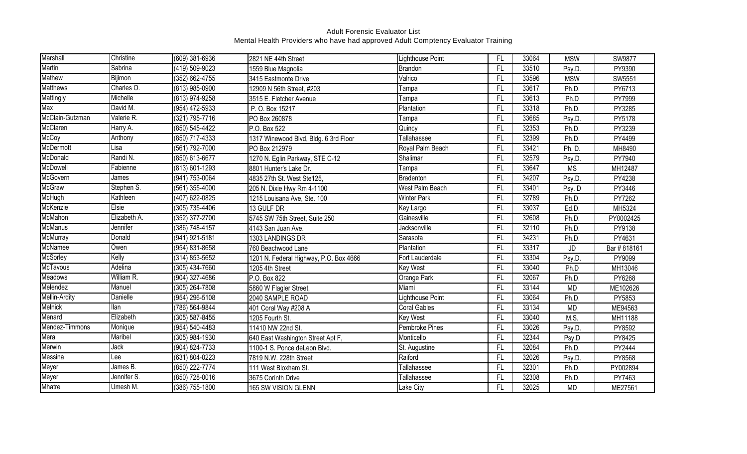| Marshall             | Christine      | (609) 381-6936   | 2821 NE 44th Street                    | Lighthouse Point    | FL        | 33064 | <b>MSW</b> | SW9877      |
|----------------------|----------------|------------------|----------------------------------------|---------------------|-----------|-------|------------|-------------|
| Martin               | Sabrina        | (419) 509-9023   | 1559 Blue Magnolia                     | Brandon             | <b>FL</b> | 33510 | Psy.D.     | PY9390      |
| Mathew               | Bijimon        | $(352)$ 662-4755 | 3415 Eastmonte Drive                   | Valrico             | FL        | 33596 | <b>MSW</b> | SW5551      |
| Matthews             | Charles O.     | (813) 985-0900   | 12909 N 56th Street, #203              | Tampa               | FL        | 33617 | Ph.D.      | PY6713      |
| Mattingly            | Michelle       | (813) 974-9258   | 3515 E. Fletcher Avenue                | Tampa               | FL        | 33613 | Ph.D       | PY7999      |
| Max                  | David M.       | (954) 472-5933   | P. O. Box 15217                        | Plantation          | FL        | 33318 | Ph.D.      | PY3285      |
| McClain-Gutzman      | Valerie R.     | (321) 795-7716   | PO Box 260878                          | Tampa               | FL        | 33685 | Psy.D.     | PY5178      |
| McClaren             | Harry A.       | (850) 545-4422   | P.O. Box 522                           | Quincy              | FL        | 32353 | Ph.D.      | PY3239      |
| McCoy                | Anthony        | (850) 717-4333   | 1317 Winewood Blvd, Bldg. 6 3rd Floor  | Tallahassee         | FL        | 32399 | Ph.D.      | PY4499      |
| McDermott            | Lisa           | (561) 792-7000   | PO Box 212979                          | Royal Palm Beach    | <b>FL</b> | 33421 | Ph. D.     | MH8490      |
| McDonald             | Randi N.       | (850) 613-6677   | 1270 N. Eglin Parkway, STE C-12        | Shalimar            | FL        | 32579 | Psy.D      | PY7940      |
| McDowell             | Fabienne       | (813) 601-1293   | 8801 Hunter's Lake Dr.                 | Tampa               | <b>FL</b> | 33647 | <b>MS</b>  | MH12487     |
| McGovern             | James          | (941) 753-0064   | 4835 27th St. West Ste125,             | Bradenton           | FL        | 34207 | Psy.D.     | PY4238      |
| <b>McGraw</b>        | Stephen S.     | (561) 355-4000   | 205 N. Dixie Hwy Rm 4-1100             | West Palm Beach     | FL        | 33401 | Psy. D     | PY3446      |
| McHugh               | Kathleen       | (407) 622-0825   | 1215 Louisana Ave, Ste. 100            | <b>Winter Park</b>  | FL        | 32789 | Ph.D.      | PY7262      |
| McKenzie             | Elsie          | (305) 735-4406   | 13 GULF DR                             | Key Largo           | FL        | 33037 | Ed.D.      | MH5324      |
| McMahon              | Elizabeth A.   | (352) 377-2700   | 5745 SW 75th Street, Suite 250         | Gainesville         | FL        | 32608 | Ph.D.      | PY0002425   |
| <b>McManus</b>       | Jennifer       | (386) 748-4157   | 4143 San Juan Ave.                     | Jacksonville        | FL        | 32110 | Ph.D.      | PY9138      |
| McMurray             | Donald         | (941) 921-5181   | 1303 LANDINGS DR                       | Sarasota            | FL        | 34231 | Ph.D.      | PY4631      |
| McNamee              | Owen           | (954) 831-8658   | 760 Beachwood Lane                     | Plantation          | FL        | 33317 | JD         | Bar #818161 |
| McSorley             | Kelly          | (314) 853-5652   | 1201 N. Federal Highway, P.O. Box 4666 | Fort Lauderdale     | FL        | 33304 | Psy.D      | PY9099      |
| McTavous             | <b>Adelina</b> | (305) 434-7660   | 1205 4th Street                        | <b>Key West</b>     | FL        | 33040 | Ph.D       | MH13046     |
| Meadows              | William R.     | (904) 327-4686   | P.O. Box 822                           | Orange Park         | FL        | 32067 | Ph.D.      | PY6268      |
| Melendez             | Manuel         | (305) 264-7808   | 5860 W Flagler Street,                 | Miami               | FL        | 33144 | <b>MD</b>  | ME102626    |
| <b>Mellin-Ardity</b> | Danielle       | (954) 296-5108   | 2040 SAMPLE ROAD                       | Lighthouse Point    | FL        | 33064 | Ph.D.      | PY5853      |
| <b>Melnick</b>       | llan           | (786) 564-9844   | 401 Coral Way #208 A                   | <b>Coral Gables</b> | FL        | 33134 | <b>MD</b>  | ME94563     |
| Menard               | Elizabeth      | (305) 587-8455   | 1205 Fourth St.                        | <b>Key West</b>     | FL        | 33040 | M.S.       | MH11188     |
| Mendez-Timmons       | Monique        | (954) 540-4483   | 11410 NW 22nd St.                      | Pembroke Pines      | FL        | 33026 | Psy.D.     | PY8592      |
| Mera                 | Maribel        | (305) 984-1930   | 640 East Washington Street Apt F,      | Monticello          | <b>FL</b> | 32344 | Psy.D      | PY8425      |
| Merwin               | Jack           | (904) 824-7733   | 1100-1 S. Ponce deLeon Blvd.           | St. Augustine       | FL        | 32084 | Ph.D.      | PY2444      |
| Messina              | Lee            | (631) 804-0223   | 7819 N.W. 228th Street                 | Raiford             | FL        | 32026 | Psy.D.     | PY8568      |
| Meyer                | James B.       | (850) 222-7774   | 111 West Bloxham St.                   | Tallahassee         | FL        | 32301 | Ph.D.      | PY002894    |
| Meyer                | Jennifer S.    | (850) 728-0016   | 3675 Corinth Drive                     | Tallahassee         | FL        | 32308 | Ph.D.      | PY7463      |
| Mhatre               | Umesh M.       | (386) 755-1800   | 165 SW VISION GLENN                    | Lake City           | FL        | 32025 | <b>MD</b>  | ME27561     |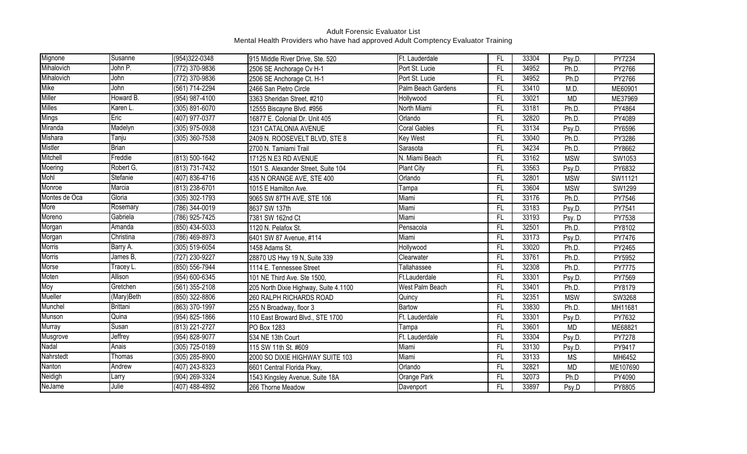| Mignone       | Susanne      | (954)322-0348      | 915 Middle River Drive, Ste. 520      | Ft. Lauderdale      | FL        | 33304 | Psy.D.     | PY7234   |
|---------------|--------------|--------------------|---------------------------------------|---------------------|-----------|-------|------------|----------|
| Mihalovich    | John P.      | (772) 370-9836     | 2506 SE Anchorage Cv H-1              | Port St. Lucie      | FL        | 34952 | Ph.D.      | PY2766   |
| Mihalovich    | John         | (772) 370-9836     | 2506 SE Anchorage Ct. H-1             | Port St. Lucie      | FL        | 34952 | Ph.D       | PY2766   |
| Mike          | John         | (561) 714-2294     | 2466 San Pietro Circle                | Palm Beach Gardens  | FL        | 33410 | M.D.       | ME60901  |
| Miller        | Howard B.    | (954) 987-4100     | 3363 Sheridan Street, #210            | Hollywood           | FL        | 33021 | <b>MD</b>  | ME37969  |
| Milles        | Karen L.     | (305) 891-6070     | 12555 Biscayne Blvd. #956             | North Miami         | FL        | 33181 | Ph.D.      | PY4864   |
| <b>Mings</b>  | Eric         | (407) 977-0377     | 16877 E. Colonial Dr. Unit 405        | Orlando             | FL        | 32820 | Ph.D.      | PY4089   |
| Miranda       | Madelyn      | $(305)$ 975-0938   | 1231 CATALONIA AVENUE                 | <b>Coral Gables</b> | FL        | 33134 | Psy.D.     | PY6596   |
| Mishara       | Tanju        | (305) 360-7538     | 2409 N. ROOSEVELT BLVD, STE 8         | Key West            | FL        | 33040 | Ph.D.      | PY3286   |
| Mistler       | <b>Brian</b> |                    | 2700 N. Tamiami Trail                 | Sarasota            | FL        | 34234 | Ph.D.      | PY8662   |
| Mitchell      | Freddie      | (813) 500-1642     | 17125 N.E3 RD AVENUE                  | N. Miami Beach      | <b>FL</b> | 33162 | <b>MSW</b> | SW1053   |
| Moering       | Robert G,    | (813) 731-7432     | 1501 S. Alexander Street, Suite 104   | <b>Plant City</b>   | <b>FL</b> | 33563 | Psy.D.     | PY6832   |
| Mohl          | Stefanie     | (407) 836-4716     | 435 N ORANGE AVE, STE 400             | Orlando             | FL        | 32801 | <b>MSW</b> | SW11121  |
| Monroe        | Marcia       | (813) 238-6701     | 1015 E Hamilton Ave.                  | Tampa               | FL        | 33604 | <b>MSW</b> | SW1299   |
| Montes de Oca | Gloria       | (305) 302-1793     | 9065 SW 87TH AVE, STE 106             | Miami               | FL        | 33176 | Ph.D.      | PY7546   |
| More          | Rosemary     | (786) 344-0019     | 8637 SW 137th                         | Miami               | FL        | 33183 | Psy.D.     | PY7541   |
| Moreno        | Gabriela     | (786) 925-7425     | 7381 SW 162nd Ct                      | Miami               | FL        | 33193 | Psy. D     | PY7538   |
| Morgan        | Amanda       | (850) 434-5033     | 1120 N. Pelafox St.                   | Pensacola           | FL        | 32501 | Ph.D.      | PY8102   |
| Morgan        | Christina    | (786) 469-8973     | 6401 SW 87 Avenue, #114               | Miami               | FL        | 33173 | Psy.D.     | PY7476   |
| <b>Morris</b> | Barry A.     | (305) 519-6054     | 1458 Adams St.                        | Hollywood           | <b>FL</b> | 33020 | Ph.D.      | PY2465   |
| <b>Morris</b> | James B,     | (727) 230-9227     | 28870 US Hwy 19 N, Suite 339          | Clearwater          | FL        | 33761 | Ph.D.      | PY5952   |
| Morse         | Tracey L.    | (850) 556-7944     | 1114 E. Tennessee Street              | Tallahassee         | FL        | 32308 | Ph.D.      | PY7775   |
| Moten         | Allison      | (954) 600-6345     | 101 NE Third Ave. Ste 1500            | Ft.Lauderdale       | FL        | 33301 | Psy.D.     | PY7569   |
| Moy           | Gretchen     | (561) 355-2108     | 205 North Dixie Highway, Suite 4.1100 | West Palm Beach     | FL        | 33401 | Ph.D.      | PY8179   |
| Mueller       | (Mary)Beth   | (850) 322-8806     | 260 RALPH RICHARDS ROAD               | Quincy              | FL        | 32351 | <b>MSW</b> | SW3268   |
| Munchel       | Brittani     | (863) 370-1997     | 255 N Broadway, floor 3               | Bartow              | FL        | 33830 | Ph.D.      | MH11681  |
| Munson        | Quina        | (954) 825-1866     | 110 East Broward Blvd., STE 1700      | Ft. Lauderdale      | <b>FL</b> | 33301 | Psy.D.     | PY7632   |
| <b>Murray</b> | Susan        | (813) 221-2727     | PO Box 1283                           | Tampa               | FL        | 33601 | <b>MD</b>  | ME68821  |
| Musgrove      | Jeffrey      | $(954) 828 - 9077$ | 534 NE 13th Court                     | Ft. Lauderdale      | FL        | 33304 | Psy.D.     | PY7278   |
| Nadal         | Anais        | (305) 725-0189     | 115 SW 11th St. #609                  | Miami               | <b>FL</b> | 33130 | Psy.D.     | PY9417   |
| Nahrstedt     | Thomas       | (305) 285-8900     | 2000 SO DIXIE HIGHWAY SUITE 103       | Miami               | FL        | 33133 | <b>MS</b>  | MH6452   |
| Nanton        | Andrew       | (407) 243-8323     | 6601 Central Florida Pkwy,            | Orlando             | FL        | 32821 | <b>MD</b>  | ME107690 |
| Neidigh       | Larry        | (904) 269-3324     | 1543 Kingsley Avenue, Suite 18A       | Orange Park         | FL        | 32073 | Ph.D       | PY4090   |
| NeJame        | Julie        | (407) 488-4892     | 266 Thorne Meadow                     | Davenport           | FL        | 33897 | Psy.D      | PY8805   |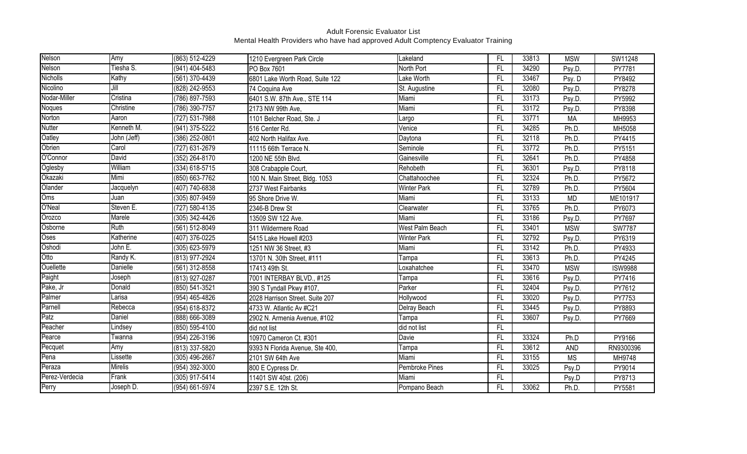| Nelson          | Amy             | (863) 512-4229   | 1210 Evergreen Park Circle      | Lakeland           | FL              | 33813 | <b>MSW</b> | SW11248        |
|-----------------|-----------------|------------------|---------------------------------|--------------------|-----------------|-------|------------|----------------|
| Nelson          | Tiesha S.       | $(941)$ 404-5483 | PO Box 7601                     | North Port         | $\overline{FL}$ | 34290 | Psy.D.     | PY7781         |
| <b>Nicholls</b> | Kathy           | (561) 370-4439   | 6801 Lake Worth Road, Suite 122 | Lake Worth         | FL              | 33467 | Psy. D     | PY8492         |
| Nicolino        | Jill            | (828) 242-9553   | 74 Coquina Ave                  | St. Augustine      | FL              | 32080 | Psy.D.     | PY8278         |
| Nodar-Miller    | Cristina        | (786) 897-7593   | 6401 S.W. 87th Ave., STE 114    | Miami              | FL              | 33173 | Psy.D.     | PY5992         |
| Noques          | Christine       | (786) 390-7757   | 2173 NW 99th Ave,               | Miami              | FL              | 33172 | Psy.D.     | PY8398         |
| Norton          | Aaron           | (727) 531-7988   | 1101 Belcher Road, Ste. J       | Largo              | FL.             | 33771 | <b>MA</b>  | MH9953         |
| <b>Nutter</b>   | Kenneth M.      | (941) 375-5222   | 516 Center Rd.                  | Venice             | FL              | 34285 | Ph.D.      | MH5058         |
| Oatley          | John (Jeff)     | (386) 252-0801   | 402 North Halifax Ave.          | Daytona            | FL              | 32118 | Ph.D.      | PY4415         |
| Obrien          | Carol           | (727) 631-2679   | 11115 66th Terrace N.           | Seminole           | FL              | 33772 | Ph.D.      | PY5151         |
| O'Connor        | David           | (352) 264-8170   | 1200 NE 55th Blvd.              | Gainesville        | FL              | 32641 | Ph.D.      | PY4858         |
| Oglesby         | William         | (334) 618-5715   | 308 Crabapple Court,            | Rehobeth           | FL.             | 36301 | Psy.D.     | PY8118         |
| Okazaki         | Mimi            | (850) 663-7762   | 100 N. Main Street, Bldg. 1053  | Chattahoochee      | FL              | 32324 | Ph.D.      | PY5672         |
| Olander         | Jacquelyn       | (407) 740-6838   | 2737 West Fairbanks             | <b>Winter Park</b> | FL              | 32789 | Ph.D.      | PY5604         |
| Oms             | Juan            | (305) 807-9459   | 95 Shore Drive W.               | Miami              | FL              | 33133 | <b>MD</b>  | ME101917       |
| O'Neal          | Steven E.       | (727) 580-4135   | 2346-B Drew St                  | Clearwater         | FL              | 33765 | Ph.D.      | PY6073         |
| Orozco          | Marele          | (305) 342-4426   | 13509 SW 122 Ave.               | Miami              | FL              | 33186 | Psy.D.     | PY7697         |
| Osborne         | Ruth            | (561) 512-8049   | 311 Wildermere Road             | West Palm Beach    | FL              | 33401 | <b>MSW</b> | <b>SW7787</b>  |
| Oses            | Katherine       | (407) 376-0225   | 5415 Lake Howell #203           | <b>Winter Park</b> | FL              | 32792 | Psy.D.     | PY6319         |
| Oshodi          | John E.         | (305) 623-5979   | 1251 NW 36 Street, #3           | Miami              | FL              | 33142 | Ph.D.      | PY4933         |
| Otto            | Randy K.        | (813) 977-2924   | 13701 N. 30th Street, #111      | Tampa              | FL              | 33613 | Ph.D.      | PY4245         |
| Ouellette       | <b>Danielle</b> | (561) 312-8558   | 17413 49th St.                  | Loxahatchee        | FL              | 33470 | <b>MSW</b> | <b>ISW9988</b> |
| Paight          | Joseph          | (813) 927-0287   | 7001 INTERBAY BLVD., #125       | Tampa              | FL.             | 33616 | Psy.D.     | PY7416         |
| Pake, Jr        | Donald          | (850) 541-3521   | 390 S Tyndall Pkwy #107,        | Parker             | FL              | 32404 | Psy.D.     | PY7612         |
| Palmer          | Larisa          | (954) 465-4826   | 2028 Harrison Street. Suite 207 | Hollywood          | FL.             | 33020 | Psy.D.     | PY7753         |
| Parnell         | Rebecca         | (954) 618-8372   | 4733 W. Atlantic Av #C21        | Delray Beach       | FL              | 33445 | Psy.D.     | PY8893         |
| Patz            | Daniel          | (888) 666-3089   | 2902 N. Armenia Avenue, #102    | Tampa              | FL              | 33607 | Psy.D.     | PY7669         |
| Peacher         | Lindsey         | (850) 595-4100   | did not list                    | did not list       | FL.             |       |            |                |
| Pearce          | Twanna          | (954) 226-3196   | 10970 Cameron Ct. #301          | Davie              | FL              | 33324 | Ph.D       | PY9166         |
| Pecquet         | Amy             | (813) 337-5820   | 9393 N Florida Avenue, Ste 400, | Tampa              | FL              | 33612 | AND        | RN9300396      |
| Pena            | _issette        | (305) 496-2667   | 2101 SW 64th Ave                | Miami              | FL              | 33155 | <b>MS</b>  | MH9748         |
| Peraza          | <b>Mirelis</b>  | (954) 392-3000   | 800 E Cypress Dr.               | Pembroke Pines     | FL              | 33025 | Psy.D      | PY9014         |
| Perez-Verdecia  | Frank           | (305) 917-5414   | 11401 SW 40st. (206)            | Miami              | FL              |       | Psy.D      | PY8713         |
| Perry           | Joseph D.       | (954) 661-5974   | 2397 S.E. 12th St.              | Pompano Beach      | $\overline{FL}$ | 33062 | Ph.D.      | PY5581         |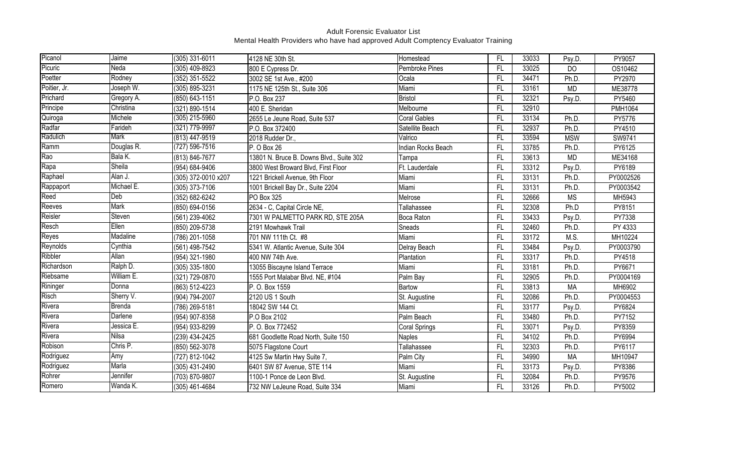| Picanol      | Jaime       | (305) 331-6011      | 4128 NE 30th St.                         | Homestead            | <b>FL</b> | 33033 | Psy.D.         | PY9057    |
|--------------|-------------|---------------------|------------------------------------------|----------------------|-----------|-------|----------------|-----------|
| Picuric      | Neda        | $(305)$ 409-8923    | 800 E Cypress Dr.                        | Pembroke Pines       | <b>FL</b> | 33025 | D <sub>O</sub> | OS10462   |
| Poetter      | Rodney      | (352) 351-5522      | 3002 SE 1st Ave., #200                   | Ocala                | FL        | 34471 | Ph.D.          | PY2970    |
| Poitier, Jr. | Joseph W.   | (305) 895-3231      | 1175 NE 125th St., Suite 306             | Miami                | <b>FL</b> | 33161 | <b>MD</b>      | ME38778   |
| Prichard     | Gregory A.  | (850) 643-1151      | P.O. Box 237                             | Bristol              | FL        | 32321 | Psy.D.         | PY5460    |
| Principe     | Christina   | (321) 890-1514      | 400 E. Sheridan                          | Melbourne            | <b>FL</b> | 32910 |                | PMH1064   |
| Quiroga      | Michele     | $(305)$ 215-5960    | 2655 Le Jeune Road, Suite 537            | <b>Coral Gables</b>  | <b>FL</b> | 33134 | Ph.D.          | PY5776    |
| Radfar       | Farideh     | (321) 779-9997      | P.O. Box 372400                          | Satellite Beach      | FL        | 32937 | Ph.D.          | PY4510    |
| Radulich     | Mark        | (813) 447-9519      | 2018 Rudder Dr.,                         | Valrico              | F         | 33594 | <b>MSW</b>     | SW9741    |
| Ramm         | Douglas R.  | $(727) 596 - 7516$  | P. O Box 26                              | Indian Rocks Beach   | FL        | 33785 | Ph.D.          | PY6125    |
| Rao          | Bala K.     | (813) 846-7677      | 13801 N. Bruce B. Downs Blvd., Suite 302 | Tampa                | FL.       | 33613 | <b>MD</b>      | ME34168   |
| Rapa         | Sheila      | (954) 684-9406      | 3800 West Broward Blvd, First Floor      | Ft. Lauderdale       | FL        | 33312 | Psy.D          | PY6189    |
| Raphael      | Alan J.     | (305) 372-0010 x207 | 1221 Brickell Avenue, 9th Floor          | Miami                | FL        | 33131 | Ph.D.          | PY0002526 |
| Rappaport    | Michael E.  | (305) 373-7106      | 1001 Brickell Bay Dr., Suite 2204        | Miami                | FL        | 33131 | Ph.D.          | PY0003542 |
| Reed         | Deb         | (352) 682-6242      | PO Box 325                               | Melrose              | <b>FL</b> | 32666 | <b>MS</b>      | MH5943    |
| Reeves       | <b>Mark</b> | (850) 694-0156      | 2634 - C, Capital Circle NE,             | Tallahassee          | <b>FL</b> | 32308 | Ph.D           | PY8151    |
| Reisler      | Steven      | (561) 239-4062      | 7301 W PALMETTO PARK RD, STE 205A        | Boca Raton           | FL        | 33433 | Psy.D.         | PY7338    |
| Resch        | Ellen       | (850) 209-5738      | 2191 Mowhawk Trail                       | Sneads               | <b>FL</b> | 32460 | Ph.D.          | PY 4333   |
| Reyes        | Madaline    | (786) 201-1058      | 701 NW 111th Ct. #8                      | Miami                | FL        | 33172 | M.S.           | MH10224   |
| Reynolds     | Cynthia     | (561) 498-7542      | 5341 W. Atlantic Avenue, Suite 304       | Delray Beach         | FL        | 33484 | Psy.D.         | PY0003790 |
| Ribbler      | Allan       | (954) 321-1980      | 400 NW 74th Ave.                         | Plantation           | <b>FL</b> | 33317 | Ph.D.          | PY4518    |
| Richardson   | Ralph D.    | (305) 335-1800      | 13055 Biscayne Island Terrace            | Miami                | FL        | 33181 | Ph.D.          | PY6671    |
| Riebsame     | William E.  | (321) 729-0870      | 1555 Port Malabar Blvd. NE, #104         | Palm Bay             | <b>FL</b> | 32905 | Ph.D.          | PY0004169 |
| Rininger     | Donna       | (863) 512-4223      | P. O. Box 1559                           | <b>Bartow</b>        | FL        | 33813 | <b>MA</b>      | MH6902    |
| Risch        | Sherry V.   | (904) 794-2007      | 2120 US 1 South                          | St. Augustine        | FL        | 32086 | Ph.D.          | PY0004553 |
| Rivera       | Brenda      | (786) 269-5181      | 18042 SW 144 Ct.                         | Miami                | <b>FL</b> | 33177 | Psy.D.         | PY6824    |
| Rivera       | Darlene     | (954) 907-8358      | P.O Box 2102                             | Palm Beach           | FL        | 33480 | Ph.D.          | PY7152    |
| Rivera       | Jessica E.  | (954) 933-8299      | P. O. Box 772452                         | <b>Coral Springs</b> | FL        | 33071 | Psy.D.         | PY8359    |
| Rivera       | Nilsa       | (239) 434-2425      | 681 Goodlette Road North, Suite 150      | <b>Naples</b>        | <b>FL</b> | 34102 | Ph.D.          | PY6994    |
| Robison      | Chris P.    | (850) 562-3078      | 5075 Flagstone Court                     | Tallahassee          | <b>FL</b> | 32303 | Ph.D.          | PY6117    |
| Rodriguez    | Amy         | (727) 812-1042      | 4125 Sw Martin Hwy Suite 7,              | Palm City            | FL        | 34990 | <b>MA</b>      | MH10947   |
| Rodriguez    | Marla       | (305) 431-2490      | 6401 SW 87 Avenue, STE 114               | Miami                | <b>FL</b> | 33173 | Psy.D.         | PY8386    |
| Rohrer       | Jennifer    | (703) 870-9807      | 1100-1 Ponce de Leon Blvd.               | St. Augustine        | FL        | 32084 | Ph.D.          | PY9576    |
| Romero       | Wanda K.    | (305) 461-4684      | 732 NW LeJeune Road, Suite 334           | Miami                | <b>FL</b> | 33126 | Ph.D.          | PY5002    |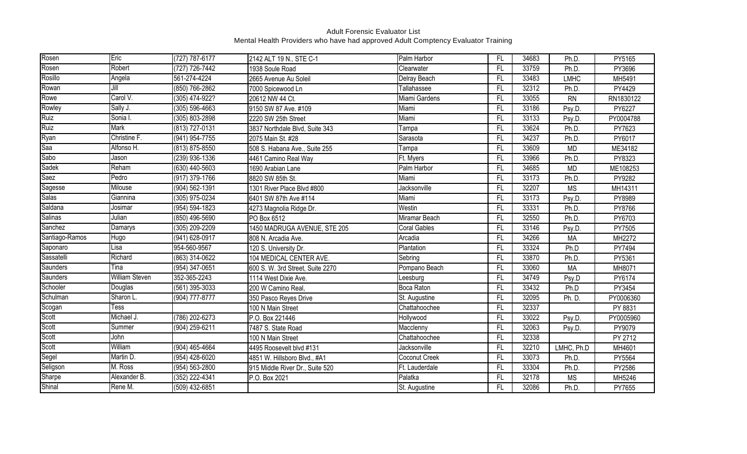| Rosen          | Eric                       | (727) 787-6177     | 2142 ALT 19 N., STE C-1          | Palm Harbor         | FL        | 34683 | Ph.D.       | PY5165    |
|----------------|----------------------------|--------------------|----------------------------------|---------------------|-----------|-------|-------------|-----------|
| Rosen          | Robert                     | (727) 726-7442     | 1938 Soule Road                  | Clearwater          | <b>FL</b> | 33759 | Ph.D.       | PY3696    |
| Rosillo        | Angela                     | 561-274-4224       | 2665 Avenue Au Soleil            | Delray Beach        | FL        | 33483 | <b>LMHC</b> | MH5491    |
| Rowan          | Jill                       | (850) 766-2862     | 7000 Spicewood Ln                | Tallahassee         | FL        | 32312 | Ph.D.       | PY4429    |
| Rowe           | Carol V.                   | (305) 474-922?     | 20612 NW 44 Ct.                  | Miami Gardens       | FL        | 33055 | <b>RN</b>   | RN1830122 |
| Rowley         | Sally J.                   | $(305) 596 - 4663$ | 9150 SW 87 Ave. #109             | Miami               | FL        | 33186 | Psy.D.      | PY6227    |
| Ruiz           | Sonia I.                   | (305) 803-2898     | 2220 SW 25th Street              | Miami               | FL        | 33133 | Psy.D.      | PY0004788 |
| Ruiz           | Mark                       | (813) 727-0131     | 3837 Northdale Blvd, Suite 343   | Tampa               | FL        | 33624 | Ph.D.       | PY7623    |
| Ryan           | Christine F.               | $(941) 954 - 7755$ | 2075 Main St. #28                | Sarasota            | <b>FL</b> | 34237 | Ph.D.       | PY6017    |
| Saa            | Alfonso H.                 | (813) 875-8550     | 508 S. Habana Ave., Suite 255    | Tampa               | <b>FL</b> | 33609 | <b>MD</b>   | ME34182   |
| Sabo           | Jason                      | (239) 936-1336     | 4461 Camino Real Way             | Ft. Myers           | <b>FL</b> | 33966 | Ph.D.       | PY8323    |
| Sadek          | Reham                      | (630) 440-5603     | 1690 Arabian Lane                | Palm Harbor         | <b>FL</b> | 34685 | <b>MD</b>   | ME108253  |
| Saez           | Pedro                      | (917) 379-1766     | 8820 SW 85th St.                 | Miami               | FL        | 33173 | Ph.D.       | PY9282    |
| Sagesse        | Milouse                    | (904) 562-1391     | 1301 River Place Blvd #800       | Jacksonville        | FL        | 32207 | <b>MS</b>   | MH14311   |
| <b>Salas</b>   | Giannina                   | (305) 975-0234     | 6401 SW 87th Ave #114            | Miami               | FL        | 33173 | Psy.D.      | PY8989    |
| Saldana        | Josimar                    | (954) 594-1823     | 4273 Magnolia Ridge Dr.          | Westin              | FL        | 33331 | Ph.D.       | PY8766    |
| Salinas        | Julian                     | (850) 496-5690     | PO Box 6512                      | Miramar Beach       | FL        | 32550 | Ph.D.       | PY6703    |
| Sanchez        | Damarys                    | (305) 209-2209     | 1450 MADRUGA AVENUE, STE 205     | <b>Coral Gables</b> | FL        | 33146 | Psy.D       | PY7505    |
| Santiago-Ramos | Hugo                       | (941) 628-0917     | 808 N. Arcadia Ave.              | Arcadia             | <b>FL</b> | 34266 | <b>MA</b>   | MH2272    |
| Saponaro       | Lisa                       | 954-560-9567       | 120 S. University Dr.            | Plantation          | FL        | 33324 | Ph.D        | PY7494    |
| Sassatelli     | Richard                    | (863) 314-0622     | 104 MEDICAL CENTER AVE.          | Sebring             | FL        | 33870 | Ph.D.       | PY5361    |
| Saunders       | Tina                       | (954) 347-0651     | 600 S. W. 3rd Street, Suite 2270 | Pompano Beach       | <b>FL</b> | 33060 | <b>MA</b>   | MH8071    |
| Saunders       | William Steven             | 352-365-2243       | 1114 West Dixie Ave.             | Leesburg            | FL        | 34749 | Psy.D       | PY6174    |
| Schooler       | Douglas                    | (561) 395-3033     | 200 W Camino Real,               | Boca Raton          | FL        | 33432 | Ph.D        | PY3454    |
| Schulman       | Sharon L.                  | (904) 777-8777     | 350 Pasco Reyes Drive            | St. Augustine       | FL        | 32095 | Ph. D.      | PY0006360 |
| Scogan         | $\overline{\textsf{Fess}}$ |                    | 100 N Main Street                | Chattahoochee       | FL        | 32337 |             | PY 8831   |
| Scott          | Michael J.                 | (786) 202-6273     | P.O. Box 221446                  | Hollywood           | FL        | 33022 | Psy.D.      | PY0005960 |
| Scott          | Summer                     | (904) 259-6211     | 7487 S. State Road               | Macclenny           | FL        | 32063 | Psy.D.      | PY9079    |
| Scott          | John                       |                    | 100 N Main Street                | Chattahoochee       | <b>FL</b> | 32338 |             | PY 2712   |
| Scott          | William                    | (904) 465-4664     | 4495 Roosevelt blvd #131         | Jacksonville        | <b>FL</b> | 32210 | LMHC, Ph.D  | MH4601    |
| Segel          | Martin D.                  | (954) 428-6020     | 4851 W. Hillsboro Blvd., #A1     | Coconut Creek       | FL        | 33073 | Ph.D.       | PY5564    |
| Seligson       | M. Ross                    | $(954) 563 - 2800$ | 915 Middle River Dr., Suite 520  | Ft. Lauderdale      | <b>FL</b> | 33304 | Ph.D.       | PY2586    |
| Sharpe         | Alexander B.               | (352) 222-4341     | P.O. Box 2021                    | Palatka             | FL        | 32178 | <b>MS</b>   | MH5246    |
| Shinal         | Rene M.                    | (509) 432-6851     |                                  | St. Augustine       | FL        | 32086 | Ph.D.       | PY7655    |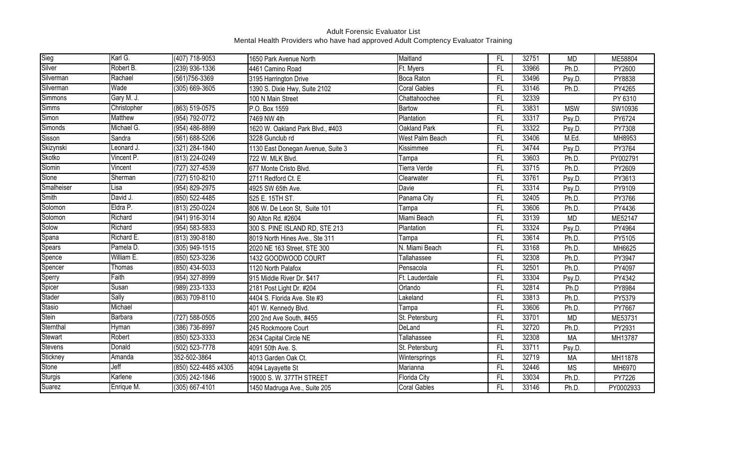| Sieg           | Karl G.        | (407) 718-9053       | 1650 Park Avenue North            | Maitland            | FL        | 32751 | <b>MD</b>  | ME58804   |
|----------------|----------------|----------------------|-----------------------------------|---------------------|-----------|-------|------------|-----------|
| Silver         | Robert B.      | $(239)$ 936-1336     | 4461 Camino Road                  | Ft. Myers           | FL        | 33966 | Ph.D.      | PY2600    |
| Silverman      | Rachael        | $(561)756 - 3369$    | 3195 Harrington Drive             | <b>Boca Raton</b>   | FL        | 33496 | Psy.D.     | PY8838    |
| Silverman      | Wade           | (305) 669-3605       | 1390 S. Dixie Hwy, Suite 2102     | <b>Coral Gables</b> | FL        | 33146 | Ph.D.      | PY4265    |
| Simmons        | Gary M. J.     |                      | 100 N Main Street                 | Chattahoochee       | FL        | 32339 |            | PY 6310   |
| <b>Simms</b>   | Christopher    | (863) 519-0575       | P.O. Box 1559                     | Bartow              | FL        | 33831 | <b>MSW</b> | SW10936   |
| Simon          | <b>Matthew</b> | (954) 792-0772       | 7469 NW 4th                       | Plantation          | FL        | 33317 | Psy.D.     | PY6724    |
| Simonds        | Michael G.     | (954) 486-8899       | 1620 W. Oakland Park Blvd., #403  | Oakland Park        | FL        | 33322 | Psy.D.     | PY7308    |
| Sisson         | Sandra         | $(561) 688 - 5206$   | 3228 Gunclub rd                   | West Palm Beach     | <b>FL</b> | 33406 | M.Ed.      | MH8953    |
| Skizynski      | Leonard J.     | (321) 284-1840       | 1130 East Donegan Avenue, Suite 3 | Kissimmee           | <b>FL</b> | 34744 | Psy.D.     | PY3764    |
| Skotko         | Vincent P.     | (813) 224-0249       | 722 W. MLK Blvd.                  | Tampa               | FL        | 33603 | Ph.D.      | PY002791  |
| Slomin         | Vincent        | (727) 327-4539       | 677 Monte Cristo Blvd.            | <b>Tierra Verde</b> | FL        | 33715 | Ph.D.      | PY2609    |
| Slone          | Sherman        | (727) 510-8210       | 2711 Redford Ct. E                | Clearwater          | FL        | 33761 | Psy.D.     | PY3613    |
| Smalheiser     | Lisa           | (954) 829-2975       | 4925 SW 65th Ave.                 | Davie               | FL        | 33314 | Psy.D.     | PY9109    |
| Smith          | David J.       | (850) 522-4485       | 525 E. 15TH ST.                   | Panama City         | FL        | 32405 | Ph.D.      | PY3766    |
| Solomon        | Eldra P.       | (813) 250-0224       | 806 W. De Leon St, Suite 101      | Tampa               | FL        | 33606 | Ph.D.      | PY4436    |
| Solomon        | Richard        | (941) 916-3014       | 90 Alton Rd. #2604                | Miami Beach         | FL        | 33139 | <b>MD</b>  | ME52147   |
| Solow          | Richard        | (954) 583-5833       | 300 S. PINE ISLAND RD, STE 213    | Plantation          | FL        | 33324 | Psy.D      | PY4964    |
| Spana          | Richard E.     | (813) 390-8180       | 8019 North Hines Ave., Ste 311    | Tampa               | FL        | 33614 | Ph.D.      | PY5105    |
| Spears         | Pamela D.      | (305) 949-1515       | 2020 NE 163 Street, STE 300       | N. Miami Beach      | FL        | 33168 | Ph.D.      | MH6625    |
| Spence         | William E.     | (850) 523-3236       | 1432 GOODWOOD COURT               | Tallahassee         | FL        | 32308 | Ph.D.      | PY3947    |
| Spencer        | Thomas         | (850) 434-5033       | 1120 North Palafox                | Pensacola           | FL        | 32501 | Ph.D.      | PY4097    |
| Sperry         | Faith          | (954) 327-8999       | 915 Middle River Dr. \$417        | Ft. Lauderdale      | FL        | 33304 | Psy.D.     | PY4342    |
| Spicer         | Susan          | (989) 233-1333       | 2181 Post Light Dr. #204          | Orlando             | FL        | 32814 | Ph.D       | PY8984    |
| Stader         | <b>Sally</b>   | (863) 709-8110       | 4404 S. Florida Ave. Ste #3       | Lakeland            | FL        | 33813 | Ph.D.      | PY5379    |
| Stasio         | Michael        |                      | 401 W. Kennedy Blvd.              | Tampa               | FL        | 33606 | Ph.D.      | PY7667    |
| Stein          | Barbara        | (727) 588-0505       | 200 2nd Ave South, #455           | St. Petersburg      | FL        | 33701 | <b>MD</b>  | ME53731   |
| Sternthal      | Hyman          | (386) 736-8997       | 245 Rockmoore Court               | DeLand              | FL        | 32720 | Ph.D.      | PY2931    |
| Stewart        | Robert         | (850) 523-3333       | 2634 Capital Circle NE            | Tallahassee         | <b>FL</b> | 32308 | <b>MA</b>  | MH13787   |
| <b>Stevens</b> | Donald         | (502) 523-7778       | 4091 50th Ave. S.                 | St. Petersburg      | <b>FL</b> | 33711 | Psy.D.     |           |
| Stickney       | Amanda         | 352-502-3864         | 4013 Garden Oak Ct.               | Wintersprings       | FL        | 32719 | <b>MA</b>  | MH11878   |
| Stone          | Jeff           | (850) 522-4485 x4305 | 4094 Layayette St                 | Marianna            | <b>FL</b> | 32446 | <b>MS</b>  | MH6970    |
| Sturgis        | Karlene        | (305) 242-1846       | 19000 S. W. 377TH STREET          | Florida City        | FL        | 33034 | Ph.D.      | PY7226    |
| Suarez         | Enrique M.     | (305) 667-4101       | 1450 Madruga Ave., Suite 205      | <b>Coral Gables</b> | FL        | 33146 | Ph.D.      | PY0002933 |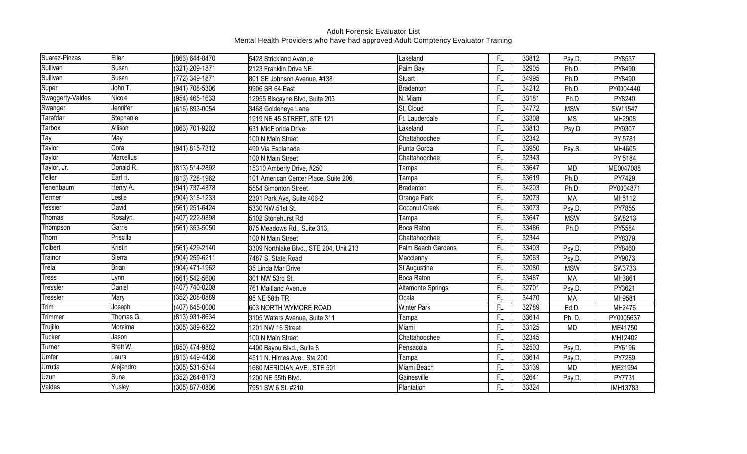| Suarez-Pinzas    | Ellen        | (863) 644-8470   | 5428 Strickland Avenue                  | Lakeland                 | FL        | 33812 | Psy.D.     | PY8537          |
|------------------|--------------|------------------|-----------------------------------------|--------------------------|-----------|-------|------------|-----------------|
| Sullivan         | Susan        | (321) 209-1871   | 2123 Franklin Drive NE                  | Palm Bay                 | <b>FL</b> | 32905 | Ph.D.      | PY8490          |
| Sullivan         | Susan        | (772) 349-1871   | 801 SE Johnson Avenue, #138             | <b>Stuart</b>            | FL        | 34995 | Ph.D.      | PY8490          |
| Super            | John T.      | (941) 708-5306   | 9906 SR 64 East                         | Bradenton                | FL        | 34212 | Ph.D.      | PY0004440       |
| Swaggerty-Valdes | Nicole       | (954) 465-1633   | 12955 Biscayne Blvd, Suite 203          | N. Miami                 | FL        | 33181 | Ph.D       | PY8240          |
| Swanger          | Jennifer     | (616) 893-0054   | 3468 Goldeneye Lane                     | St. Cloud                | FL        | 34772 | <b>MSW</b> | SW11547         |
| Tarafdar         | Stephanie    |                  | 1919 NE 45 STREET, STE 121              | Ft. Lauderdale           | FL        | 33308 | <b>MS</b>  | MH2908          |
| Tarbox           | Allison      | (863) 701-9202   | 631 MidFlorida Drive                    | Lakeland                 | <b>FL</b> | 33813 | Psy.D      | PY9307          |
| Tay              | May          |                  | 100 N Main Street                       | Chattahoochee            | FL        | 32342 |            | PY 5781         |
| Taylor           | Cora         | (941) 815-7312   | 490 Via Esplanade                       | Punta Gorda              | <b>FL</b> | 33950 | Psy.S.     | MH4605          |
| Taylor           | Marcellus    |                  | 100 N Main Street                       | Chattahoochee            | <b>FL</b> | 32343 |            | PY 5184         |
| Taylor, Jr.      | Donald R.    | (813) 514-2892   | 15310 Amberly Drive, #250               | Tampa                    | <b>FL</b> | 33647 | <b>MD</b>  | ME0047088       |
| Teller           | Earl H.      | (813) 728-1962   | 101 American Center Place, Suite 206    | Tampa                    | FL        | 33619 | Ph.D.      | PY7429          |
| Tenenbaum        | Henry A.     | (941) 737-4878   | 5554 Simonton Street                    | Bradenton                | FL        | 34203 | Ph.D.      | PY0004871       |
| Termer           | Leslie       | (904) 318-1233   | 2301 Park Ave, Suite 406-2              | Orange Park              | FL        | 32073 | <b>MA</b>  | MH5112          |
| Tessier          | David        | (561) 251-6424   | 5330 NW 51st St.                        | Coconut Creek            | FL        | 33073 | Psy.D.     | PY7855          |
| Thomas           | Rosalyn      | (407) 222-9898   | 5102 Stonehurst Rd                      | Tampa                    | FL        | 33647 | <b>MSW</b> | SW8213          |
| Thompson         | Garrie       | (561) 353-5050   | 875 Meadows Rd., Suite 313,             | <b>Boca Raton</b>        | FL        | 33486 | Ph.D       | PY5584          |
| Thorn            | Priscilla    |                  | 100 N Main Street                       | Chattahoochee            | FL        | 32344 |            | PY8379          |
| Tolbert          | Kristin      | (561) 429-2140   | 3309 Northlake Blvd., STE 204, Unit 213 | Palm Beach Gardens       | FL        | 33403 | Psy.D.     | PY8460          |
| Trainor          | Sierra       | (904) 259-6211   | 7487 S. State Road                      | Macclenny                | FL        | 32063 | Psy.D.     | PY9073          |
| Trela            | <b>Brian</b> | (904) 471-1962   | 35 Linda Mar Drive                      | St Augustine             | <b>FL</b> | 32080 | <b>MSW</b> | SW3733          |
| Tress            | Lynn         | (561) 542-5600   | 301 NW 53rd St.                         | Boca Raton               | FL        | 33487 | <b>MA</b>  | MH3861          |
| Tressler         | Daniel       | (407) 740-0208   | 761 Maitland Avenue                     | <b>Altamonte Springs</b> | FL        | 32701 | Psy.D.     | PY3621          |
| Tressler         | Mary         | $(352)$ 208-0889 | 95 NE 58th TR                           | Ocala                    | FL        | 34470 | <b>MA</b>  | MH9581          |
| Trim             | Joseph       | (407) 645-0000   | 603 NORTH WYMORE ROAD                   | <b>Winter Park</b>       | FL        | 32789 | Ed.D.      | MH2476          |
| Trimmer          | Thomas G.    | $(813)$ 931-8634 | 3105 Waters Avenue, Suite 311           | Tampa                    | FL        | 33614 | Ph. D.     | PY0005637       |
| Trujillo         | Moraima      | (305) 389-6822   | 1201 NW 16 Street                       | Miami                    | FL        | 33125 | <b>MD</b>  | ME41750         |
| Tucker           | Jason        |                  | 100 N Main Street                       | Chattahoochee            | <b>FL</b> | 32345 |            | MH12402         |
| Turner           | Brett W.     | (850) 474-9882   | 4400 Bayou Blvd., Suite 8               | Pensacola                | <b>FL</b> | 32503 | Psy.D.     | PY6196          |
| Umfer            | Laura        | (813) 449-4436   | 4511 N. Himes Ave., Ste 200             | Tampa                    | FL        | 33614 | Psy.D.     | PY7289          |
| Urrutia          | Alejandro    | (305) 531-5344   | 1680 MERIDIAN AVE., STE 501             | Miami Beach              | <b>FL</b> | 33139 | <b>MD</b>  | ME21994         |
| Uzun             | Suna         | (352) 264-8173   | 1200 NE 55th Blvd.                      | Gainesville              | FL        | 32641 | Psy.D.     | PY7731          |
| Valdes           | Yusley       | (305) 877-0806   | 7951 SW 6 St. #210                      | Plantation               | <b>FL</b> | 33324 |            | <b>IMH13783</b> |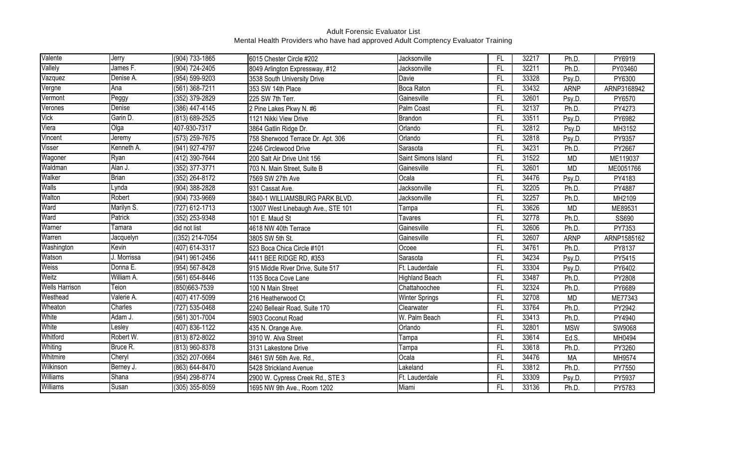| Valente               | Jerry          | (904) 733-1865   | 6015 Chester Circle #202           | Jacksonville          | FL.             | 32217 | Ph.D.       | PY6919      |
|-----------------------|----------------|------------------|------------------------------------|-----------------------|-----------------|-------|-------------|-------------|
| Vallely               | James F.       | (904) 724-2405   | 8049 Arlington Expressway, #12     | Jacksonville          | FL.             | 32211 | Ph.D.       | PY03460     |
| Vazquez               | Denise A.      | (954) 599-9203   | 3538 South University Drive        | Davie                 | FL              | 33328 | Psy.D.      | PY6300      |
| Vergne                | Ana            | (561) 368-7211   | 353 SW 14th Place                  | Boca Raton            | FL.             | 33432 | <b>ARNP</b> | ARNP3168942 |
| Vermont               | Peggy          | (352) 379-2829   | 225 SW 7th Terr.                   | Gainesville           | FL.             | 32601 | Psy.D.      | PY6570      |
| Verones               | Denise         | (386) 447-4145   | 2 Pine Lakes Pkwy N. #6            | Palm Coast            | FL.             | 32137 | Ph.D.       | PY4273      |
| Vick                  | Garin D.       | (813) 689-2525   | 1121 Nikki View Drive              | Brandon               | FL.             | 33511 | Psy.D.      | PY6982      |
| Viera                 | Olga           | 407-930-7317     | 3864 Gatlin Ridge Dr.              | Orlando               | $\overline{FL}$ | 32812 | Psy.D       | MH3152      |
| Vincent               | Jeremy         | $(573)$ 259-7675 | 758 Sherwood Terrace Dr. Apt. 306  | Orlando               | FL.             | 32818 | Psy.D.      | PY9357      |
| Visser                | Kenneth A.     | (941) 927-4797   | 2246 Circlewood Drive              | Sarasota              | FL.             | 34231 | Ph.D.       | PY2667      |
| Wagoner               | Ryan           | (412) 390-7644   | 200 Salt Air Drive Unit 156        | Saint Simons Island   | FL              | 31522 | <b>MD</b>   | ME119037    |
| Waldman               | Alan J.        | (352) 377-3771   | 703 N. Main Street, Suite B        | Gainesville           | FL.             | 32601 | <b>MD</b>   | ME0051766   |
| Walker                | <b>Brian</b>   | (352) 264-8172   | 7569 SW 27th Ave                   | Ocala                 | FL.             | 34476 | Psy.D.      | PY4183      |
| <b>Walls</b>          | Lynda          | (904) 388-2828   | 931 Cassat Ave.                    | Jacksonville          | FL.             | 32205 | Ph.D.       | PY4887      |
| Walton                | Robert         | (904) 733-9669   | 3840-1 WILLIAMSBURG PARK BLVD.     | Jacksonville          | $\overline{FL}$ | 32257 | Ph.D.       | MH2109      |
| Ward                  | Marilyn S.     | (727) 612-1713   | 13007 West Linebaugh Ave., STE 101 | Tampa                 | FL              | 33626 | <b>MD</b>   | ME89531     |
| Ward                  | <b>Patrick</b> | (352) 253-9348   | 101 E. Maud St                     | <b>Tavares</b>        | FL.             | 32778 | Ph.D.       | SS690       |
| Warner                | Tamara         | did not list     | 4618 NW 40th Terrace               | Gainesville           | FL              | 32606 | Ph.D.       | PY7353      |
| Warren                | Jacquelyn      | ((352) 214-7054  | 3805 SW 5th St.                    | Gainesville           | FL.             | 32607 | <b>ARNP</b> | ARNP1585162 |
| Washington            | Kevin          | (407) 614-3317   | 523 Boca Chica Circle #101         | Ocoee                 | FL.             | 34761 | Ph.D.       | PY8137      |
| Watson                | J. Morrissa    | (941) 961-2456   | 4411 BEE RIDGE RD, #353            | Sarasota              | $\overline{FL}$ | 34234 | Psy.D.      | PY5415      |
| <b>Weiss</b>          | Donna E.       | (954) 567-8428   | 915 Middle River Drive, Suite 517  | Ft. Lauderdale        | $\overline{FL}$ | 33304 | Psy.D.      | PY6402      |
| Weitz                 | William A.     | (561) 654-8446   | 1135 Boca Cove Lane                | <b>Highland Beach</b> | FL.             | 33487 | Ph.D.       | PY2808      |
| <b>Wells Harrison</b> | Teion          | (850) 663-7539   | 100 N Main Street                  | Chattahoochee         | FL.             | 32324 | Ph.D.       | PY6689      |
| Westhead              | Valerie A.     | (407) 417-5099   | 216 Heatherwood Ct                 | <b>Winter Springs</b> | FL.             | 32708 | <b>MD</b>   | ME77343     |
| Wheaton               | Charles        | (727) 535-0468   | 2240 Belleair Road, Suite 170      | Clearwater            | FL.             | 33764 | Ph.D.       | PY2942      |
| White                 | Adam J.        | (561) 301-7004   | 5903 Coconut Road                  | W. Palm Beach         | FL              | 33413 | Ph.D.       | PY4940      |
| White                 | Lesley         | (407) 836-1122   | 435 N. Orange Ave.                 | Orlando               | FL.             | 32801 | <b>MSW</b>  | SW9068      |
| Whitford              | Robert W.      | (813) 872-8022   | 3910 W. Alva Street                | Tampa                 | FL.             | 33614 | Ed.S.       | MH0494      |
| Whiting               | Bruce R.       | (813) 960-8378   | 3131 Lakestone Drive               | Tampa                 | FL.             | 33618 | Ph.D.       | PY3260      |
| Whitmire              | Cheryl         | (352) 207-0664   | 8461 SW 56th Ave. Rd.,             | Ocala                 | FL              | 34476 | <b>MA</b>   | MH9574      |
| Wilkinson             | Berney J.      | (863) 644-8470   | 5428 Strickland Avenue             | Lakeland              | FL              | 33812 | Ph.D.       | PY7550      |
| Williams              | Shana          | (954) 298-8774   | 2900 W. Cypress Creek Rd., STE 3   | Ft. Lauderdale        | FL.             | 33309 | Psy.D.      | PY5937      |
| Williams              | Susan          | (305) 355-8059   | 1695 NW 9th Ave., Room 1202        | Miami                 | FL.             | 33136 | Ph.D.       | PY5783      |